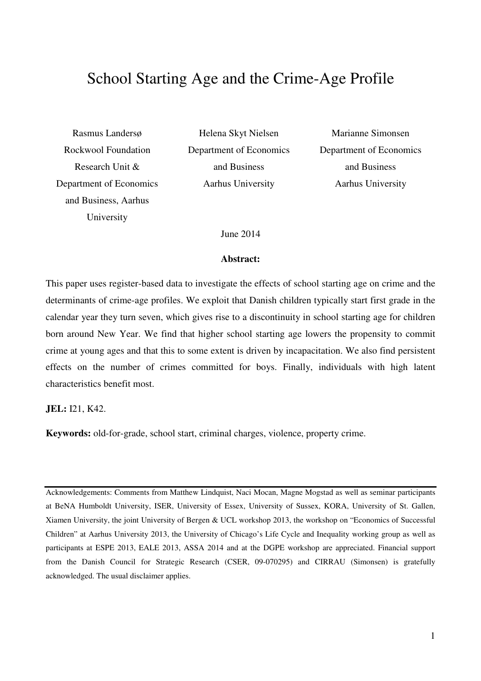# School Starting Age and the Crime-Age Profile

Rasmus Landersø Rockwool Foundation Research Unit & Department of Economics and Business, Aarhus University

Helena Skyt Nielsen Department of Economics and Business Aarhus University

Marianne Simonsen Department of Economics and Business Aarhus University

June 2014

#### **Abstract:**

This paper uses register-based data to investigate the effects of school starting age on crime and the determinants of crime-age profiles. We exploit that Danish children typically start first grade in the calendar year they turn seven, which gives rise to a discontinuity in school starting age for children born around New Year. We find that higher school starting age lowers the propensity to commit crime at young ages and that this to some extent is driven by incapacitation. We also find persistent effects on the number of crimes committed for boys. Finally, individuals with high latent characteristics benefit most.

**JEL:** I21, K42.

**Keywords:** old-for-grade, school start, criminal charges, violence, property crime.

Acknowledgements: Comments from Matthew Lindquist, Naci Mocan, Magne Mogstad as well as seminar participants at BeNA Humboldt University, ISER, University of Essex, University of Sussex, KORA, University of St. Gallen, Xiamen University, the joint University of Bergen & UCL workshop 2013, the workshop on "Economics of Successful Children" at Aarhus University 2013, the University of Chicago's Life Cycle and Inequality working group as well as participants at ESPE 2013, EALE 2013, ASSA 2014 and at the DGPE workshop are appreciated. Financial support from the Danish Council for Strategic Research (CSER, 09-070295) and CIRRAU (Simonsen) is gratefully acknowledged. The usual disclaimer applies.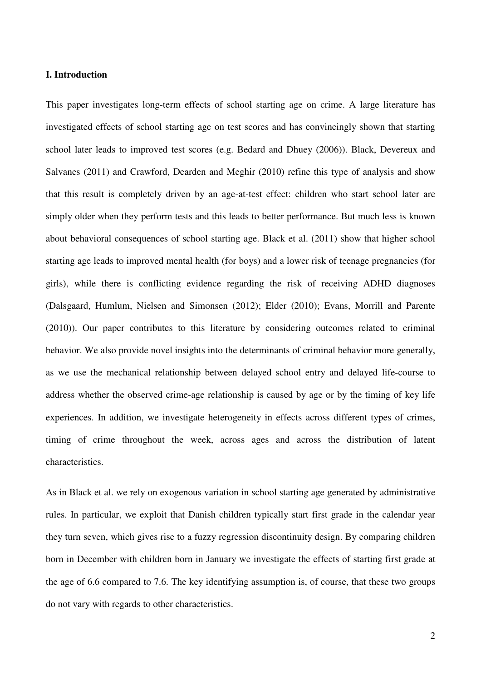#### **I. Introduction**

This paper investigates long-term effects of school starting age on crime. A large literature has investigated effects of school starting age on test scores and has convincingly shown that starting school later leads to improved test scores (e.g. Bedard and Dhuey (2006)). Black, Devereux and Salvanes (2011) and Crawford, Dearden and Meghir (2010) refine this type of analysis and show that this result is completely driven by an age-at-test effect: children who start school later are simply older when they perform tests and this leads to better performance. But much less is known about behavioral consequences of school starting age. Black et al. (2011) show that higher school starting age leads to improved mental health (for boys) and a lower risk of teenage pregnancies (for girls), while there is conflicting evidence regarding the risk of receiving ADHD diagnoses (Dalsgaard, Humlum, Nielsen and Simonsen (2012); Elder (2010); Evans, Morrill and Parente (2010)). Our paper contributes to this literature by considering outcomes related to criminal behavior. We also provide novel insights into the determinants of criminal behavior more generally, as we use the mechanical relationship between delayed school entry and delayed life-course to address whether the observed crime-age relationship is caused by age or by the timing of key life experiences. In addition, we investigate heterogeneity in effects across different types of crimes, timing of crime throughout the week, across ages and across the distribution of latent characteristics.

As in Black et al. we rely on exogenous variation in school starting age generated by administrative rules. In particular, we exploit that Danish children typically start first grade in the calendar year they turn seven, which gives rise to a fuzzy regression discontinuity design. By comparing children born in December with children born in January we investigate the effects of starting first grade at the age of 6.6 compared to 7.6. The key identifying assumption is, of course, that these two groups do not vary with regards to other characteristics.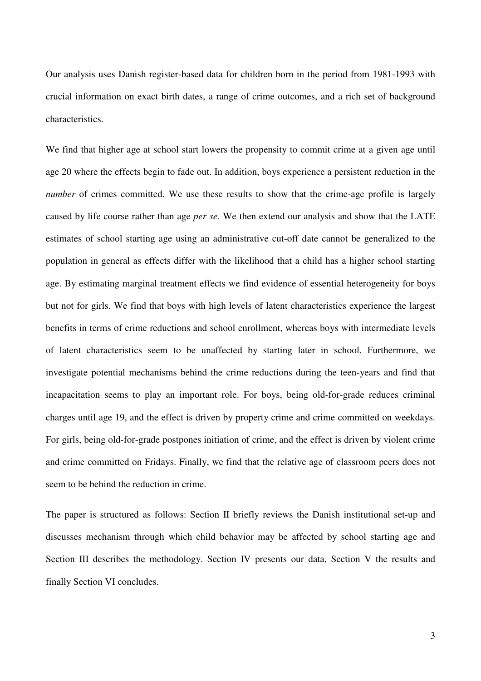Our analysis uses Danish register-based data for children born in the period from 1981-1993 with crucial information on exact birth dates, a range of crime outcomes, and a rich set of background characteristics.

We find that higher age at school start lowers the propensity to commit crime at a given age until age 20 where the effects begin to fade out. In addition, boys experience a persistent reduction in the *number* of crimes committed. We use these results to show that the crime-age profile is largely caused by life course rather than age *per se*. We then extend our analysis and show that the LATE estimates of school starting age using an administrative cut-off date cannot be generalized to the population in general as effects differ with the likelihood that a child has a higher school starting age. By estimating marginal treatment effects we find evidence of essential heterogeneity for boys but not for girls. We find that boys with high levels of latent characteristics experience the largest benefits in terms of crime reductions and school enrollment, whereas boys with intermediate levels of latent characteristics seem to be unaffected by starting later in school. Furthermore, we investigate potential mechanisms behind the crime reductions during the teen-years and find that incapacitation seems to play an important role. For boys, being old-for-grade reduces criminal charges until age 19, and the effect is driven by property crime and crime committed on weekdays. For girls, being old-for-grade postpones initiation of crime, and the effect is driven by violent crime and crime committed on Fridays. Finally, we find that the relative age of classroom peers does not seem to be behind the reduction in crime.

The paper is structured as follows: Section II briefly reviews the Danish institutional set-up and discusses mechanism through which child behavior may be affected by school starting age and Section III describes the methodology. Section IV presents our data, Section V the results and finally Section VI concludes.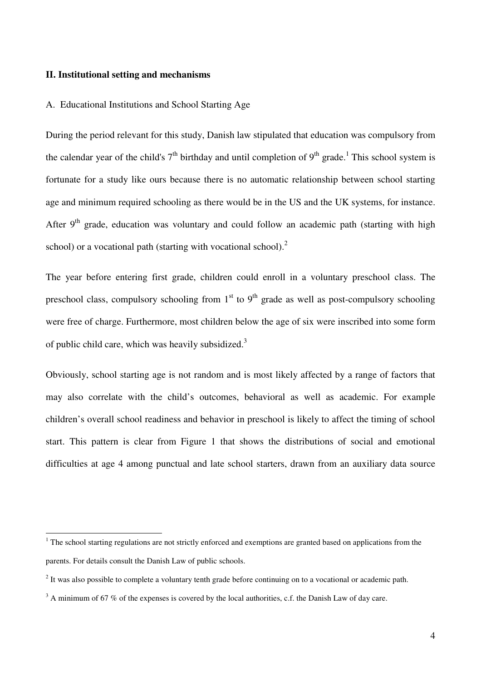#### **II. Institutional setting and mechanisms**

 $\overline{a}$ 

#### A. Educational Institutions and School Starting Age

During the period relevant for this study, Danish law stipulated that education was compulsory from the calendar year of the child's  $7<sup>th</sup>$  birthday and until completion of  $9<sup>th</sup>$  grade.<sup>1</sup> This school system is fortunate for a study like ours because there is no automatic relationship between school starting age and minimum required schooling as there would be in the US and the UK systems, for instance. After  $9<sup>th</sup>$  grade, education was voluntary and could follow an academic path (starting with high school) or a vocational path (starting with vocational school).<sup>2</sup>

The year before entering first grade, children could enroll in a voluntary preschool class. The preschool class, compulsory schooling from  $1<sup>st</sup>$  to  $9<sup>th</sup>$  grade as well as post-compulsory schooling were free of charge. Furthermore, most children below the age of six were inscribed into some form of public child care, which was heavily subsidized.<sup>3</sup>

Obviously, school starting age is not random and is most likely affected by a range of factors that may also correlate with the child's outcomes, behavioral as well as academic. For example children's overall school readiness and behavior in preschool is likely to affect the timing of school start. This pattern is clear from Figure 1 that shows the distributions of social and emotional difficulties at age 4 among punctual and late school starters, drawn from an auxiliary data source

 $1$ <sup>1</sup> The school starting regulations are not strictly enforced and exemptions are granted based on applications from the parents. For details consult the Danish Law of public schools.

 $2<sup>2</sup>$  It was also possible to complete a voluntary tenth grade before continuing on to a vocational or academic path.

 $3$  A minimum of 67 % of the expenses is covered by the local authorities, c.f. the Danish Law of day care.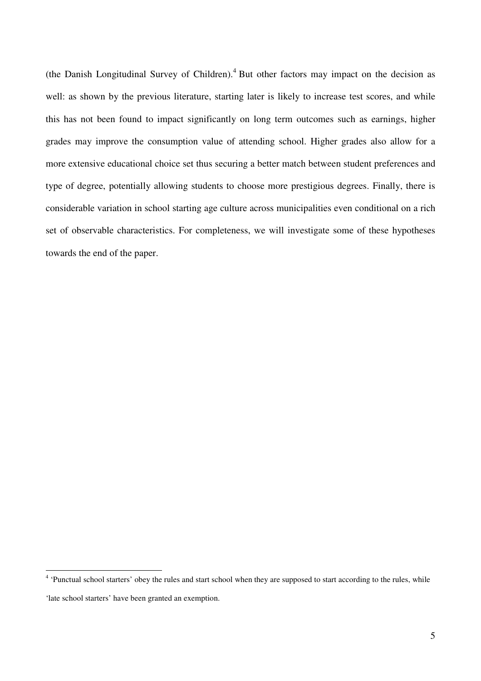(the Danish Longitudinal Survey of Children). $4$  But other factors may impact on the decision as well: as shown by the previous literature, starting later is likely to increase test scores, and while this has not been found to impact significantly on long term outcomes such as earnings, higher grades may improve the consumption value of attending school. Higher grades also allow for a more extensive educational choice set thus securing a better match between student preferences and type of degree, potentially allowing students to choose more prestigious degrees. Finally, there is considerable variation in school starting age culture across municipalities even conditional on a rich set of observable characteristics. For completeness, we will investigate some of these hypotheses towards the end of the paper.

l

<sup>&</sup>lt;sup>4</sup> 'Punctual school starters' obey the rules and start school when they are supposed to start according to the rules, while

<sup>&#</sup>x27;late school starters' have been granted an exemption.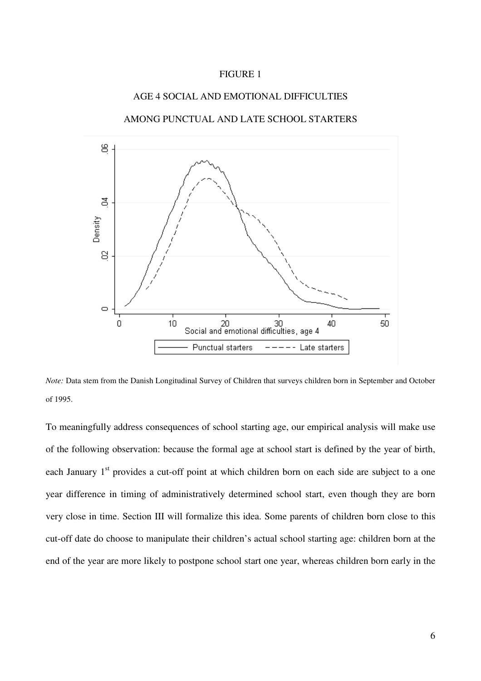#### FIGURE 1

#### AGE 4 SOCIAL AND EMOTIONAL DIFFICULTIES

AMONG PUNCTUAL AND LATE SCHOOL STARTERS



*Note:* Data stem from the Danish Longitudinal Survey of Children that surveys children born in September and October of 1995.

To meaningfully address consequences of school starting age, our empirical analysis will make use of the following observation: because the formal age at school start is defined by the year of birth, each January 1<sup>st</sup> provides a cut-off point at which children born on each side are subject to a one year difference in timing of administratively determined school start, even though they are born very close in time. Section III will formalize this idea. Some parents of children born close to this cut-off date do choose to manipulate their children's actual school starting age: children born at the end of the year are more likely to postpone school start one year, whereas children born early in the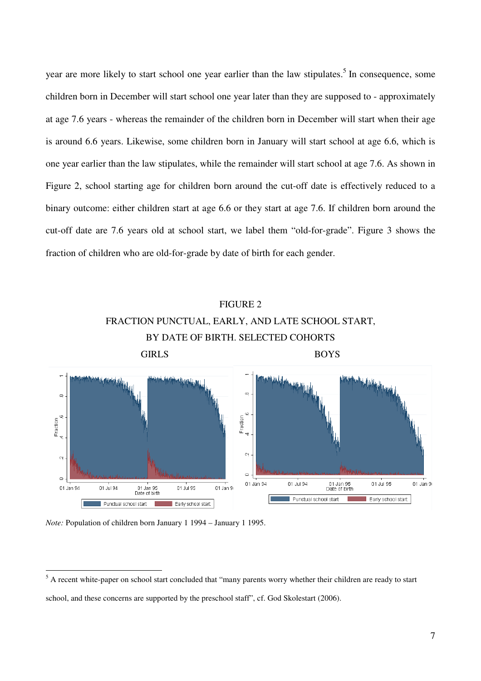year are more likely to start school one year earlier than the law stipulates.<sup>5</sup> In consequence, some children born in December will start school one year later than they are supposed to - approximately at age 7.6 years - whereas the remainder of the children born in December will start when their age is around 6.6 years. Likewise, some children born in January will start school at age 6.6, which is one year earlier than the law stipulates, while the remainder will start school at age 7.6. As shown in Figure 2, school starting age for children born around the cut-off date is effectively reduced to a binary outcome: either children start at age 6.6 or they start at age 7.6. If children born around the cut-off date are 7.6 years old at school start, we label them "old-for-grade". Figure 3 shows the fraction of children who are old-for-grade by date of birth for each gender.

# FIGURE 2 FRACTION PUNCTUAL, EARLY, AND LATE SCHOOL START, BY DATE OF BIRTH. SELECTED COHORTS



*Note:* Population of children born January 1 1994 – January 1 1995.

l

<sup>&</sup>lt;sup>5</sup> A recent white-paper on school start concluded that "many parents worry whether their children are ready to start school, and these concerns are supported by the preschool staff", cf. God Skolestart (2006).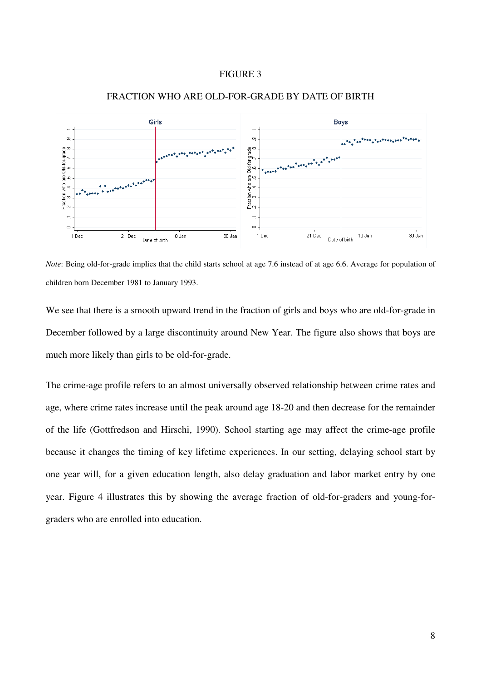#### FIGURE 3



#### FRACTION WHO ARE OLD-FOR-GRADE BY DATE OF BIRTH

*Note*: Being old-for-grade implies that the child starts school at age 7.6 instead of at age 6.6. Average for population of children born December 1981 to January 1993.

We see that there is a smooth upward trend in the fraction of girls and boys who are old-for-grade in December followed by a large discontinuity around New Year. The figure also shows that boys are much more likely than girls to be old-for-grade.

The crime-age profile refers to an almost universally observed relationship between crime rates and age, where crime rates increase until the peak around age 18-20 and then decrease for the remainder of the life (Gottfredson and Hirschi, 1990). School starting age may affect the crime-age profile because it changes the timing of key lifetime experiences. In our setting, delaying school start by one year will, for a given education length, also delay graduation and labor market entry by one year. Figure 4 illustrates this by showing the average fraction of old-for-graders and young-forgraders who are enrolled into education.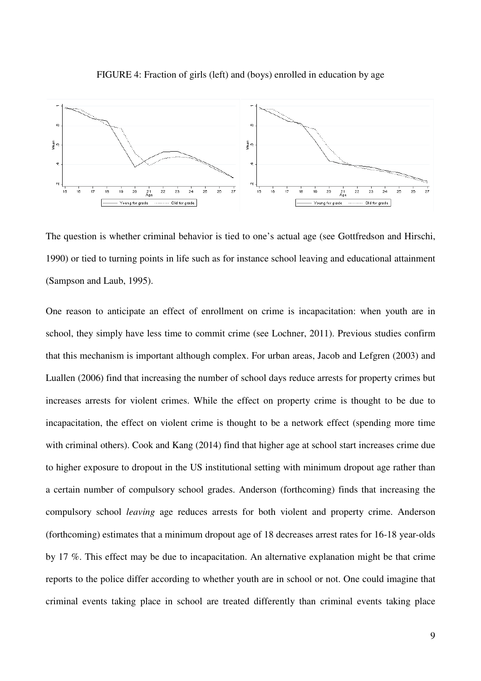

FIGURE 4: Fraction of girls (left) and (boys) enrolled in education by age

The question is whether criminal behavior is tied to one's actual age (see Gottfredson and Hirschi, 1990) or tied to turning points in life such as for instance school leaving and educational attainment (Sampson and Laub, 1995).

One reason to anticipate an effect of enrollment on crime is incapacitation: when youth are in school, they simply have less time to commit crime (see Lochner, 2011). Previous studies confirm that this mechanism is important although complex. For urban areas, Jacob and Lefgren (2003) and Luallen (2006) find that increasing the number of school days reduce arrests for property crimes but increases arrests for violent crimes. While the effect on property crime is thought to be due to incapacitation, the effect on violent crime is thought to be a network effect (spending more time with criminal others). Cook and Kang (2014) find that higher age at school start increases crime due to higher exposure to dropout in the US institutional setting with minimum dropout age rather than a certain number of compulsory school grades. Anderson (forthcoming) finds that increasing the compulsory school *leaving* age reduces arrests for both violent and property crime. Anderson (forthcoming) estimates that a minimum dropout age of 18 decreases arrest rates for 16-18 year-olds by 17 %. This effect may be due to incapacitation. An alternative explanation might be that crime reports to the police differ according to whether youth are in school or not. One could imagine that criminal events taking place in school are treated differently than criminal events taking place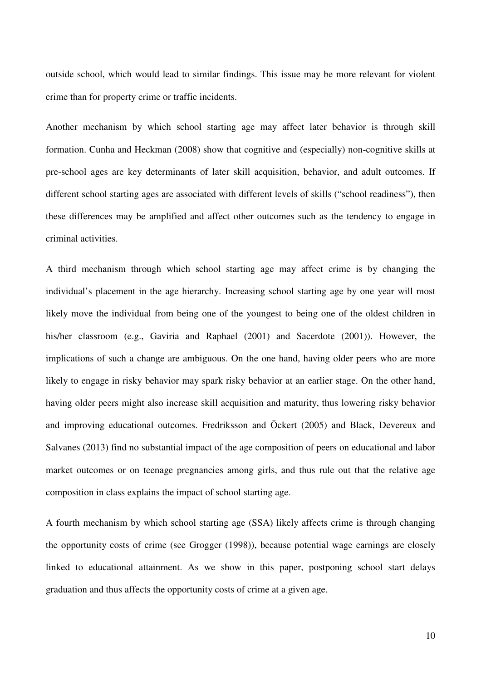outside school, which would lead to similar findings. This issue may be more relevant for violent crime than for property crime or traffic incidents.

Another mechanism by which school starting age may affect later behavior is through skill formation. Cunha and Heckman (2008) show that cognitive and (especially) non-cognitive skills at pre-school ages are key determinants of later skill acquisition, behavior, and adult outcomes. If different school starting ages are associated with different levels of skills ("school readiness"), then these differences may be amplified and affect other outcomes such as the tendency to engage in criminal activities.

A third mechanism through which school starting age may affect crime is by changing the individual's placement in the age hierarchy. Increasing school starting age by one year will most likely move the individual from being one of the youngest to being one of the oldest children in his/her classroom (e.g., Gaviria and Raphael (2001) and Sacerdote (2001)). However, the implications of such a change are ambiguous. On the one hand, having older peers who are more likely to engage in risky behavior may spark risky behavior at an earlier stage. On the other hand, having older peers might also increase skill acquisition and maturity, thus lowering risky behavior and improving educational outcomes. Fredriksson and Öckert (2005) and Black, Devereux and Salvanes (2013) find no substantial impact of the age composition of peers on educational and labor market outcomes or on teenage pregnancies among girls, and thus rule out that the relative age composition in class explains the impact of school starting age.

A fourth mechanism by which school starting age (SSA) likely affects crime is through changing the opportunity costs of crime (see Grogger (1998)), because potential wage earnings are closely linked to educational attainment. As we show in this paper, postponing school start delays graduation and thus affects the opportunity costs of crime at a given age.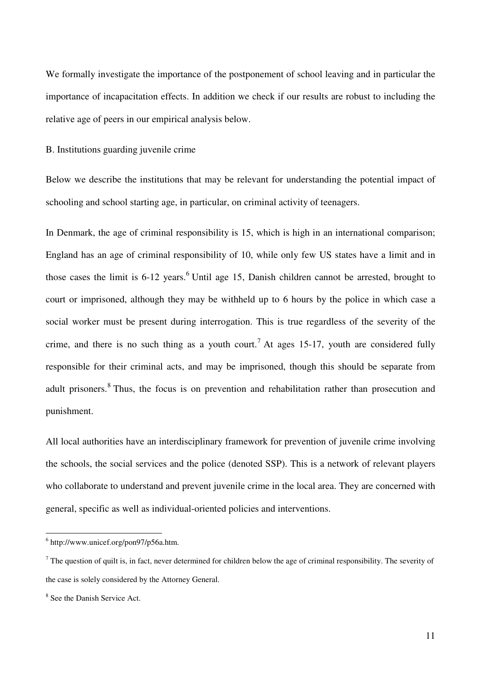We formally investigate the importance of the postponement of school leaving and in particular the importance of incapacitation effects. In addition we check if our results are robust to including the relative age of peers in our empirical analysis below.

B. Institutions guarding juvenile crime

Below we describe the institutions that may be relevant for understanding the potential impact of schooling and school starting age, in particular, on criminal activity of teenagers.

In Denmark, the age of criminal responsibility is 15, which is high in an international comparison; England has an age of criminal responsibility of 10, while only few US states have a limit and in those cases the limit is  $6-12$  years.<sup>6</sup> Until age 15, Danish children cannot be arrested, brought to court or imprisoned, although they may be withheld up to 6 hours by the police in which case a social worker must be present during interrogation. This is true regardless of the severity of the crime, and there is no such thing as a youth court.<sup>7</sup> At ages 15-17, youth are considered fully responsible for their criminal acts, and may be imprisoned, though this should be separate from adult prisoners.<sup>8</sup> Thus, the focus is on prevention and rehabilitation rather than prosecution and punishment.

All local authorities have an interdisciplinary framework for prevention of juvenile crime involving the schools, the social services and the police (denoted SSP). This is a network of relevant players who collaborate to understand and prevent juvenile crime in the local area. They are concerned with general, specific as well as individual-oriented policies and interventions.

 $\overline{a}$ 

<sup>6</sup> http://www.unicef.org/pon97/p56a.htm.

 $^7$  The question of quilt is, in fact, never determined for children below the age of criminal responsibility. The severity of the case is solely considered by the Attorney General.

<sup>&</sup>lt;sup>8</sup> See the Danish Service Act.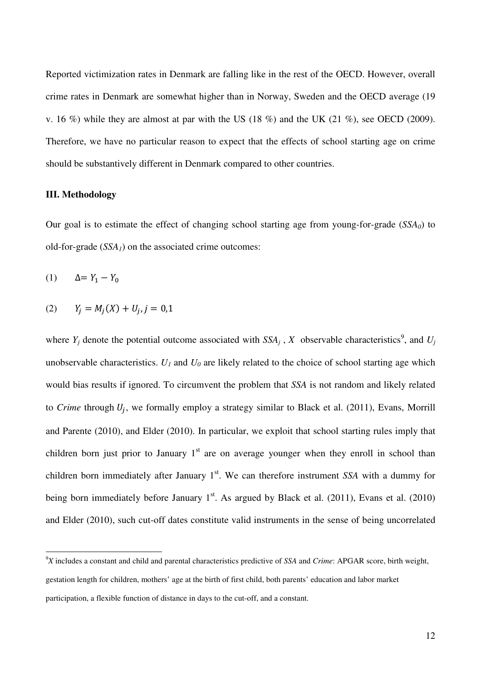Reported victimization rates in Denmark are falling like in the rest of the OECD. However, overall crime rates in Denmark are somewhat higher than in Norway, Sweden and the OECD average (19 v. 16 %) while they are almost at par with the US  $(18\%)$  and the UK  $(21\%)$ , see OECD  $(2009)$ . Therefore, we have no particular reason to expect that the effects of school starting age on crime should be substantively different in Denmark compared to other countries.

#### **III. Methodology**

Our goal is to estimate the effect of changing school starting age from young-for-grade (*SSA0*) to old-for-grade (*SSA1*) on the associated crime outcomes:

(1)  $\Delta = Y_1 - Y_0$ 

l

(2)  $Y_j = M_j(X) + U_j, j = 0,1$ 

where  $Y_j$  denote the potential outcome associated with  $SSA_j$ ,  $X$  observable characteristics<sup>9</sup>, and  $U_j$ unobservable characteristics.  $U_I$  and  $U_0$  are likely related to the choice of school starting age which would bias results if ignored. To circumvent the problem that *SSA* is not random and likely related to *Crime* through  $U_j$ , we formally employ a strategy similar to Black et al. (2011), Evans, Morrill and Parente (2010), and Elder (2010). In particular, we exploit that school starting rules imply that children born just prior to January  $1<sup>st</sup>$  are on average younger when they enroll in school than children born immediately after January 1<sup>st</sup>. We can therefore instrument *SSA* with a dummy for being born immediately before January  $1<sup>st</sup>$ . As argued by Black et al. (2011), Evans et al. (2010) and Elder (2010), such cut-off dates constitute valid instruments in the sense of being uncorrelated

<sup>9</sup>*X* includes a constant and child and parental characteristics predictive of *SSA* and *Crime*: APGAR score, birth weight, gestation length for children, mothers' age at the birth of first child, both parents' education and labor market participation, a flexible function of distance in days to the cut-off, and a constant.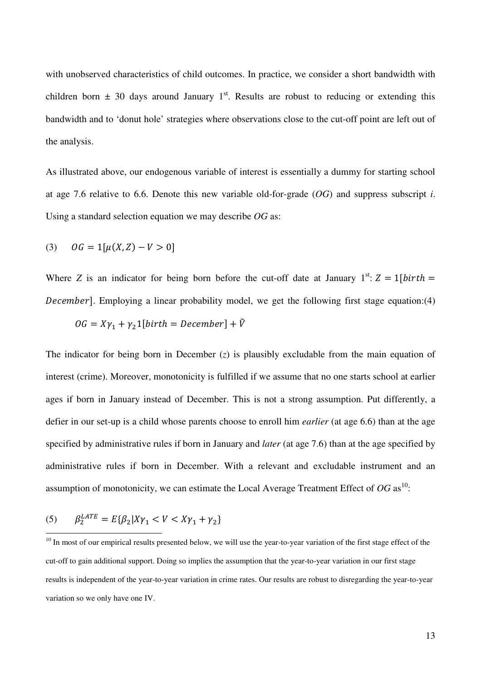with unobserved characteristics of child outcomes. In practice, we consider a short bandwidth with children born  $\pm$  30 days around January 1<sup>st</sup>. Results are robust to reducing or extending this bandwidth and to 'donut hole' strategies where observations close to the cut-off point are left out of the analysis.

As illustrated above, our endogenous variable of interest is essentially a dummy for starting school at age 7.6 relative to 6.6. Denote this new variable old-for-grade (*OG*) and suppress subscript *i*. Using a standard selection equation we may describe *OG* as:

(3) 
$$
OG = 1[\mu(X, Z) - V > 0]
$$

Where *Z* is an indicator for being born before the cut-off date at January  $1^{st}$ :  $Z = 1$ [birth = December]. Employing a linear probability model, we get the following first stage equation:(4)

$$
OG = X\gamma_1 + \gamma_2 1[birth = December] + \tilde{V}
$$

The indicator for being born in December (*z*) is plausibly excludable from the main equation of interest (crime). Moreover, monotonicity is fulfilled if we assume that no one starts school at earlier ages if born in January instead of December. This is not a strong assumption. Put differently, a defier in our set-up is a child whose parents choose to enroll him *earlier* (at age 6.6) than at the age specified by administrative rules if born in January and *later* (at age 7.6) than at the age specified by administrative rules if born in December. With a relevant and excludable instrument and an assumption of monotonicity, we can estimate the Local Average Treatment Effect of  $OG$  as<sup>10</sup>:

(5) 
$$
\beta_2^{LATE} = E\{\beta_2 | X\gamma_1 < V < X\gamma_1 + \gamma_2\}
$$

<sup>&</sup>lt;sup>10</sup> In most of our empirical results presented below, we will use the year-to-year variation of the first stage effect of the cut-off to gain additional support. Doing so implies the assumption that the year-to-year variation in our first stage results is independent of the year-to-year variation in crime rates. Our results are robust to disregarding the year-to-year variation so we only have one IV.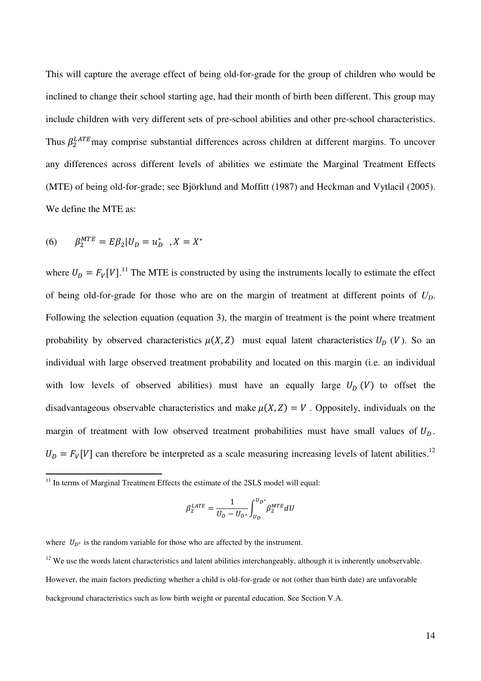This will capture the average effect of being old-for-grade for the group of children who would be inclined to change their school starting age, had their month of birth been different. This group may include children with very different sets of pre-school abilities and other pre-school characteristics. Thus  $\beta_2^{LATE}$  may comprise substantial differences across children at different margins. To uncover any differences across different levels of abilities we estimate the Marginal Treatment Effects (MTE) of being old-for-grade; see Björklund and Moffitt (1987) and Heckman and Vytlacil (2005). We define the MTE as:

(6) 
$$
\beta_2^{MTE} = E\beta_2 | U_D = u_D^* , X = X^*
$$

l

where  $U_D = F_V[V]$ .<sup>11</sup> The MTE is constructed by using the instruments locally to estimate the effect of being old-for-grade for those who are on the margin of treatment at different points of *UD*. Following the selection equation (equation 3), the margin of treatment is the point where treatment probability by observed characteristics  $\mu(X, Z)$  must equal latent characteristics  $U_D$  (V). So an individual with large observed treatment probability and located on this margin (i.e. an individual with low levels of observed abilities) must have an equally large  $U_D(V)$  to offset the disadvantageous observable characteristics and make  $\mu(X, Z) = V$ . Oppositely, individuals on the margin of treatment with low observed treatment probabilities must have small values of  $U_D$ .  $U_D = F_V[V]$  can therefore be interpreted as a scale measuring increasing levels of latent abilities.<sup>12</sup>

$$
\beta_2^{LATE} = \frac{1}{U_D - U_{D^*}} \int_{U_D}^{U_{D^*}} \beta_2^{MTE} dU
$$

where  $U_{D^*}$  is the random variable for those who are affected by the instrument.

 $12$  We use the words latent characteristics and latent abilities interchangeably, although it is inherently unobservable. However, the main factors predicting whether a child is old-for-grade or not (other than birth date) are unfavorable background characteristics such as low birth weight or parental education. See Section V.A.

 $11$  In terms of Marginal Treatment Effects the estimate of the 2SLS model will equal: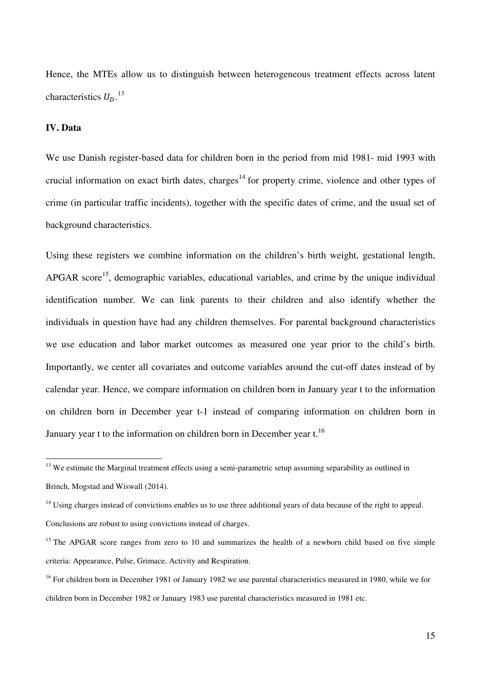Hence, the MTEs allow us to distinguish between heterogeneous treatment effects across latent characteristics  $U_D$ .<sup>13</sup>

#### **IV. Data**

l

We use Danish register-based data for children born in the period from mid 1981- mid 1993 with crucial information on exact birth dates, charges<sup>14</sup> for property crime, violence and other types of crime (in particular traffic incidents), together with the specific dates of crime, and the usual set of background characteristics.

Using these registers we combine information on the children's birth weight, gestational length, APGAR score<sup>15</sup>, demographic variables, educational variables, and crime by the unique individual identification number. We can link parents to their children and also identify whether the individuals in question have had any children themselves. For parental background characteristics we use education and labor market outcomes as measured one year prior to the child's birth. Importantly, we center all covariates and outcome variables around the cut-off dates instead of by calendar year. Hence, we compare information on children born in January year t to the information on children born in December year t-1 instead of comparing information on children born in January year t to the information on children born in December year t.<sup>16</sup>

<sup>&</sup>lt;sup>13</sup> We estimate the Marginal treatment effects using a semi-parametric setup assuming separability as outlined in Brinch, Mogstad and Wiswall (2014).

<sup>&</sup>lt;sup>14</sup> Using charges instead of convictions enables us to use three additional years of data because of the right to appeal. Conclusions are robust to using convictions instead of charges.

<sup>&</sup>lt;sup>15</sup> The APGAR score ranges from zero to 10 and summarizes the health of a newborn child based on five simple criteria: Appearance, Pulse, Grimace, Activity and Respiration.

<sup>&</sup>lt;sup>16</sup> For children born in December 1981 or January 1982 we use parental characteristics measured in 1980, while we for children born in December 1982 or January 1983 use parental characteristics measured in 1981 etc.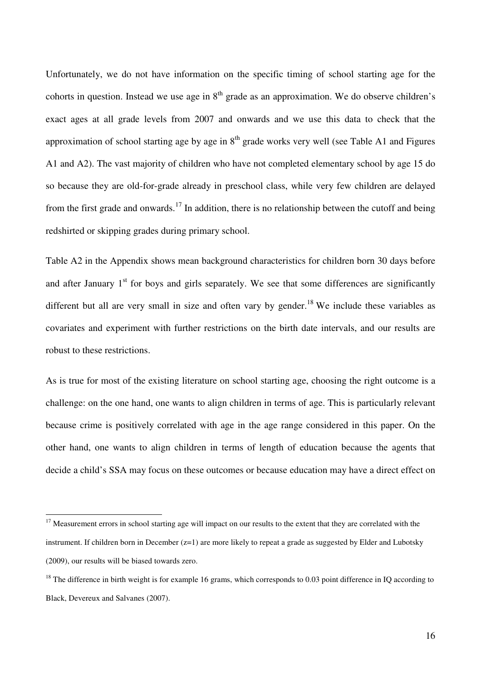Unfortunately, we do not have information on the specific timing of school starting age for the cohorts in question. Instead we use age in  $8<sup>th</sup>$  grade as an approximation. We do observe children's exact ages at all grade levels from 2007 and onwards and we use this data to check that the approximation of school starting age by age in  $8<sup>th</sup>$  grade works very well (see Table A1 and Figures A1 and A2). The vast majority of children who have not completed elementary school by age 15 do so because they are old-for-grade already in preschool class, while very few children are delayed from the first grade and onwards.<sup>17</sup> In addition, there is no relationship between the cutoff and being redshirted or skipping grades during primary school.

Table A2 in the Appendix shows mean background characteristics for children born 30 days before and after January  $1<sup>st</sup>$  for boys and girls separately. We see that some differences are significantly different but all are very small in size and often vary by gender.<sup>18</sup> We include these variables as covariates and experiment with further restrictions on the birth date intervals, and our results are robust to these restrictions.

As is true for most of the existing literature on school starting age, choosing the right outcome is a challenge: on the one hand, one wants to align children in terms of age. This is particularly relevant because crime is positively correlated with age in the age range considered in this paper. On the other hand, one wants to align children in terms of length of education because the agents that decide a child's SSA may focus on these outcomes or because education may have a direct effect on

l

 $17$  Measurement errors in school starting age will impact on our results to the extent that they are correlated with the instrument. If children born in December (z=1) are more likely to repeat a grade as suggested by Elder and Lubotsky (2009), our results will be biased towards zero.

 $18$  The difference in birth weight is for example 16 grams, which corresponds to 0.03 point difference in IQ according to Black, Devereux and Salvanes (2007).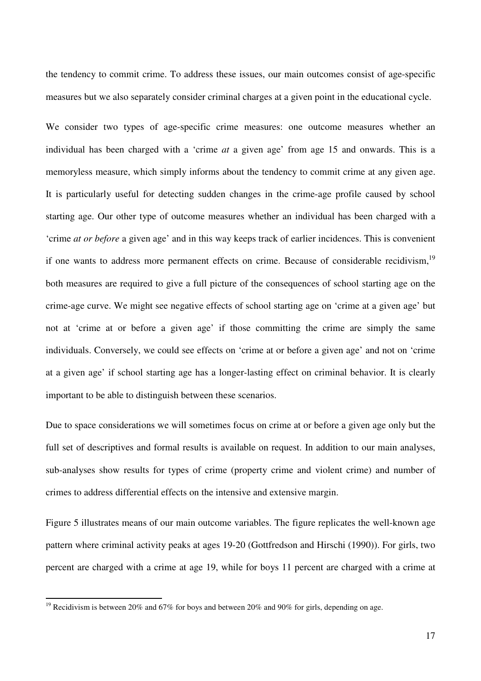the tendency to commit crime. To address these issues, our main outcomes consist of age-specific measures but we also separately consider criminal charges at a given point in the educational cycle.

We consider two types of age-specific crime measures: one outcome measures whether an individual has been charged with a 'crime *at* a given age' from age 15 and onwards. This is a memoryless measure, which simply informs about the tendency to commit crime at any given age. It is particularly useful for detecting sudden changes in the crime-age profile caused by school starting age. Our other type of outcome measures whether an individual has been charged with a 'crime *at or before* a given age' and in this way keeps track of earlier incidences. This is convenient if one wants to address more permanent effects on crime. Because of considerable recidivism,<sup>19</sup> both measures are required to give a full picture of the consequences of school starting age on the crime-age curve. We might see negative effects of school starting age on 'crime at a given age' but not at 'crime at or before a given age' if those committing the crime are simply the same individuals. Conversely, we could see effects on 'crime at or before a given age' and not on 'crime at a given age' if school starting age has a longer-lasting effect on criminal behavior. It is clearly important to be able to distinguish between these scenarios.

Due to space considerations we will sometimes focus on crime at or before a given age only but the full set of descriptives and formal results is available on request. In addition to our main analyses, sub-analyses show results for types of crime (property crime and violent crime) and number of crimes to address differential effects on the intensive and extensive margin.

Figure 5 illustrates means of our main outcome variables. The figure replicates the well-known age pattern where criminal activity peaks at ages 19-20 (Gottfredson and Hirschi (1990)). For girls, two percent are charged with a crime at age 19, while for boys 11 percent are charged with a crime at

l

<sup>&</sup>lt;sup>19</sup> Recidivism is between 20% and 67% for boys and between 20% and 90% for girls, depending on age.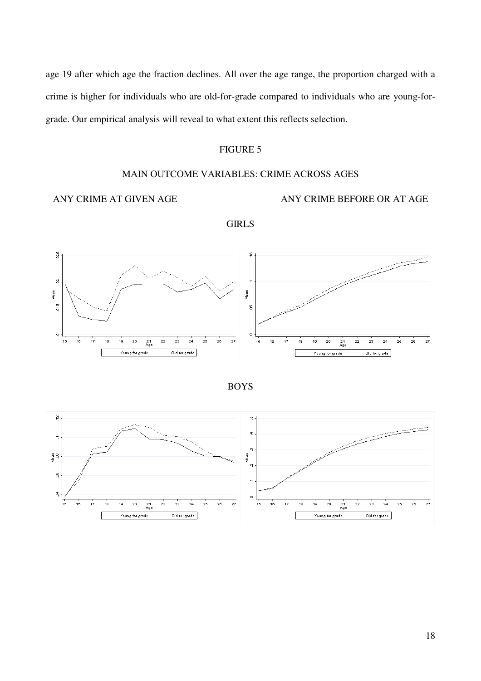age 19 after which age the fraction declines. All over the age range, the proportion charged with a crime is higher for individuals who are old-for-grade compared to individuals who are young-forgrade. Our empirical analysis will reveal to what extent this reflects selection.

# FIGURE 5

#### MAIN OUTCOME VARIABLES: CRIME ACROSS AGES

### ANY CRIME AT GIVEN AGE ANY CRIME BEFORE OR AT AGE



GIRLS



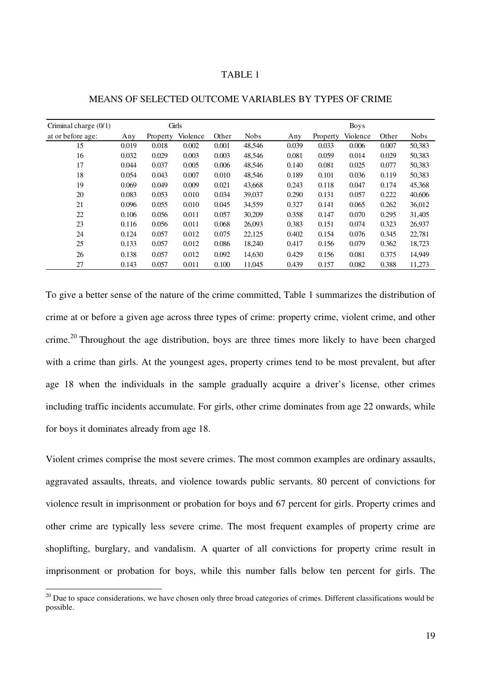#### TABLE 1

| Criminal charge $(0/1)$ |       |          | Girls    |       |             |       |          | <b>Boys</b> |       |             |
|-------------------------|-------|----------|----------|-------|-------------|-------|----------|-------------|-------|-------------|
| at or before age:       | Any   | Property | Violence | Other | <b>Nobs</b> | Any   | Property | Violence    | Other | <b>Nobs</b> |
| 15                      | 0.019 | 0.018    | 0.002    | 0.001 | 48,546      | 0.039 | 0.033    | 0.006       | 0.007 | 50,383      |
| 16                      | 0.032 | 0.029    | 0.003    | 0.003 | 48,546      | 0.081 | 0.059    | 0.014       | 0.029 | 50,383      |
| 17                      | 0.044 | 0.037    | 0.005    | 0.006 | 48,546      | 0.140 | 0.081    | 0.025       | 0.077 | 50,383      |
| 18                      | 0.054 | 0.043    | 0.007    | 0.010 | 48.546      | 0.189 | 0.101    | 0.036       | 0.119 | 50,383      |
| 19                      | 0.069 | 0.049    | 0.009    | 0.021 | 43,668      | 0.243 | 0.118    | 0.047       | 0.174 | 45,368      |
| 20                      | 0.083 | 0.053    | 0.010    | 0.034 | 39,037      | 0.290 | 0.131    | 0.057       | 0.222 | 40,606      |
| 21                      | 0.096 | 0.055    | 0.010    | 0.045 | 34,559      | 0.327 | 0.141    | 0.065       | 0.262 | 36,012      |
| 22                      | 0.106 | 0.056    | 0.011    | 0.057 | 30,209      | 0.358 | 0.147    | 0.070       | 0.295 | 31,405      |
| 23                      | 0.116 | 0.056    | 0.011    | 0.068 | 26,093      | 0.383 | 0.151    | 0.074       | 0.323 | 26,937      |
| 24                      | 0.124 | 0.057    | 0.012    | 0.075 | 22,125      | 0.402 | 0.154    | 0.076       | 0.345 | 22,781      |
| 25                      | 0.133 | 0.057    | 0.012    | 0.086 | 18,240      | 0.417 | 0.156    | 0.079       | 0.362 | 18,723      |
| 26                      | 0.138 | 0.057    | 0.012    | 0.092 | 14,630      | 0.429 | 0.156    | 0.081       | 0.375 | 14,949      |
| 27                      | 0.143 | 0.057    | 0.011    | 0.100 | 11,045      | 0.439 | 0.157    | 0.082       | 0.388 | 11,273      |

#### MEANS OF SELECTED OUTCOME VARIABLES BY TYPES OF CRIME

To give a better sense of the nature of the crime committed, Table 1 summarizes the distribution of crime at or before a given age across three types of crime: property crime, violent crime, and other crime.<sup>20</sup> Throughout the age distribution, boys are three times more likely to have been charged with a crime than girls. At the youngest ages, property crimes tend to be most prevalent, but after age 18 when the individuals in the sample gradually acquire a driver's license, other crimes including traffic incidents accumulate. For girls, other crime dominates from age 22 onwards, while for boys it dominates already from age 18.

Violent crimes comprise the most severe crimes. The most common examples are ordinary assaults, aggravated assaults, threats, and violence towards public servants. 80 percent of convictions for violence result in imprisonment or probation for boys and 67 percent for girls. Property crimes and other crime are typically less severe crime. The most frequent examples of property crime are shoplifting, burglary, and vandalism. A quarter of all convictions for property crime result in imprisonment or probation for boys, while this number falls below ten percent for girls. The

 $\overline{a}$ 

 $20$  Due to space considerations, we have chosen only three broad categories of crimes. Different classifications would be possible.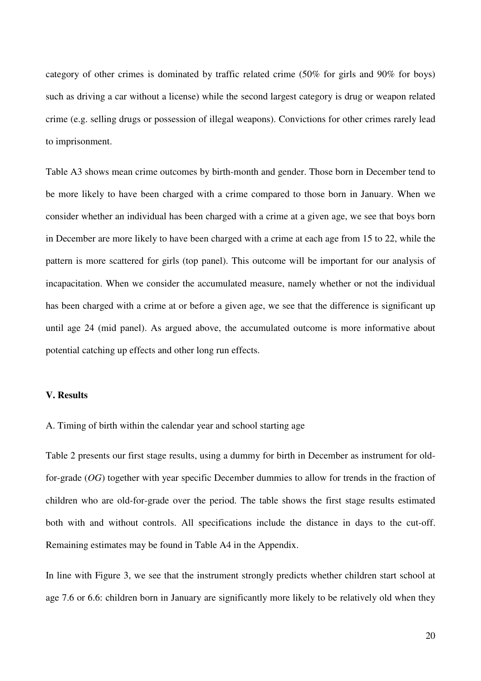category of other crimes is dominated by traffic related crime (50% for girls and 90% for boys) such as driving a car without a license) while the second largest category is drug or weapon related crime (e.g. selling drugs or possession of illegal weapons). Convictions for other crimes rarely lead to imprisonment.

Table A3 shows mean crime outcomes by birth-month and gender. Those born in December tend to be more likely to have been charged with a crime compared to those born in January. When we consider whether an individual has been charged with a crime at a given age, we see that boys born in December are more likely to have been charged with a crime at each age from 15 to 22, while the pattern is more scattered for girls (top panel). This outcome will be important for our analysis of incapacitation. When we consider the accumulated measure, namely whether or not the individual has been charged with a crime at or before a given age, we see that the difference is significant up until age 24 (mid panel). As argued above, the accumulated outcome is more informative about potential catching up effects and other long run effects.

#### **V. Results**

A. Timing of birth within the calendar year and school starting age

Table 2 presents our first stage results, using a dummy for birth in December as instrument for oldfor-grade (*OG*) together with year specific December dummies to allow for trends in the fraction of children who are old-for-grade over the period. The table shows the first stage results estimated both with and without controls. All specifications include the distance in days to the cut-off. Remaining estimates may be found in Table A4 in the Appendix.

In line with Figure 3, we see that the instrument strongly predicts whether children start school at age 7.6 or 6.6: children born in January are significantly more likely to be relatively old when they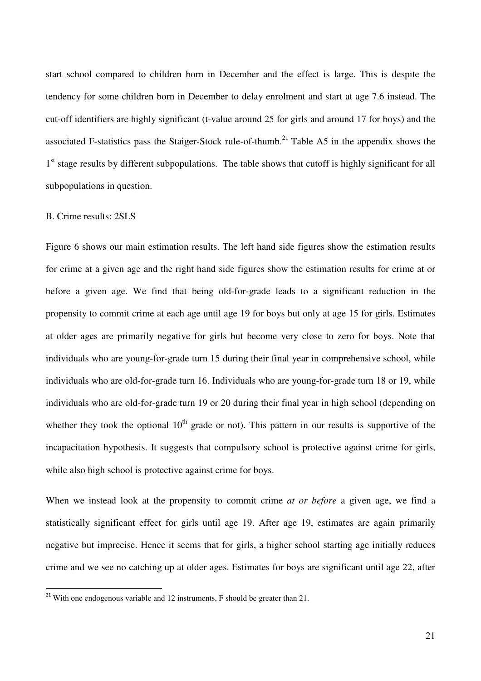start school compared to children born in December and the effect is large. This is despite the tendency for some children born in December to delay enrolment and start at age 7.6 instead. The cut-off identifiers are highly significant (t-value around 25 for girls and around 17 for boys) and the associated F-statistics pass the Staiger-Stock rule-of-thumb.<sup>21</sup> Table A5 in the appendix shows the 1<sup>st</sup> stage results by different subpopulations. The table shows that cutoff is highly significant for all subpopulations in question.

#### B. Crime results: 2SLS

l

Figure 6 shows our main estimation results. The left hand side figures show the estimation results for crime at a given age and the right hand side figures show the estimation results for crime at or before a given age. We find that being old-for-grade leads to a significant reduction in the propensity to commit crime at each age until age 19 for boys but only at age 15 for girls. Estimates at older ages are primarily negative for girls but become very close to zero for boys. Note that individuals who are young-for-grade turn 15 during their final year in comprehensive school, while individuals who are old-for-grade turn 16. Individuals who are young-for-grade turn 18 or 19, while individuals who are old-for-grade turn 19 or 20 during their final year in high school (depending on whether they took the optional  $10<sup>th</sup>$  grade or not). This pattern in our results is supportive of the incapacitation hypothesis. It suggests that compulsory school is protective against crime for girls, while also high school is protective against crime for boys.

When we instead look at the propensity to commit crime *at or before* a given age, we find a statistically significant effect for girls until age 19. After age 19, estimates are again primarily negative but imprecise. Hence it seems that for girls, a higher school starting age initially reduces crime and we see no catching up at older ages. Estimates for boys are significant until age 22, after

<sup>&</sup>lt;sup>21</sup> With one endogenous variable and 12 instruments, F should be greater than 21.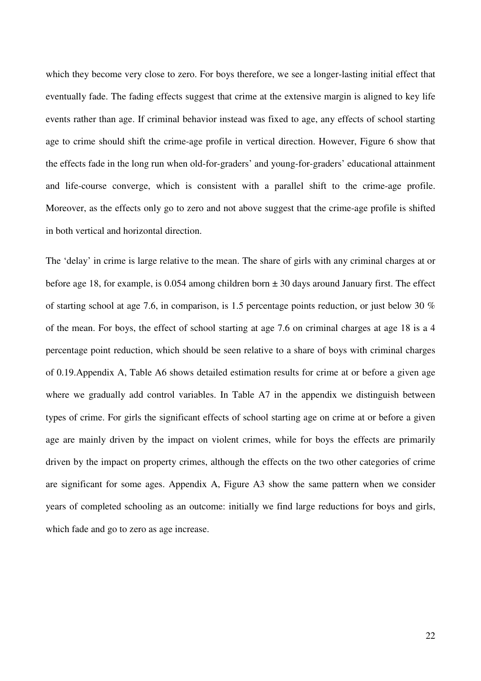which they become very close to zero. For boys therefore, we see a longer-lasting initial effect that eventually fade. The fading effects suggest that crime at the extensive margin is aligned to key life events rather than age. If criminal behavior instead was fixed to age, any effects of school starting age to crime should shift the crime-age profile in vertical direction. However, Figure 6 show that the effects fade in the long run when old-for-graders' and young-for-graders' educational attainment and life-course converge, which is consistent with a parallel shift to the crime-age profile. Moreover, as the effects only go to zero and not above suggest that the crime-age profile is shifted in both vertical and horizontal direction.

The 'delay' in crime is large relative to the mean. The share of girls with any criminal charges at or before age 18, for example, is 0.054 among children born  $\pm$  30 days around January first. The effect of starting school at age 7.6, in comparison, is 1.5 percentage points reduction, or just below 30 % of the mean. For boys, the effect of school starting at age 7.6 on criminal charges at age 18 is a 4 percentage point reduction, which should be seen relative to a share of boys with criminal charges of 0.19.Appendix A, Table A6 shows detailed estimation results for crime at or before a given age where we gradually add control variables. In Table A7 in the appendix we distinguish between types of crime. For girls the significant effects of school starting age on crime at or before a given age are mainly driven by the impact on violent crimes, while for boys the effects are primarily driven by the impact on property crimes, although the effects on the two other categories of crime are significant for some ages. Appendix A, Figure A3 show the same pattern when we consider years of completed schooling as an outcome: initially we find large reductions for boys and girls, which fade and go to zero as age increase.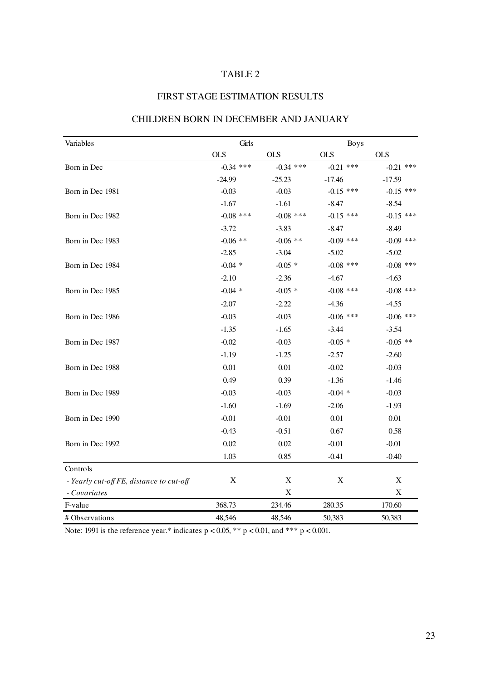# TABLE 2

# FIRST STAGE ESTIMATION RESULTS

| Variables                                | Girls       |             | <b>Boys</b> |             |
|------------------------------------------|-------------|-------------|-------------|-------------|
|                                          | <b>OLS</b>  | <b>OLS</b>  | <b>OLS</b>  | <b>OLS</b>  |
| Born in Dec                              | $-0.34$ *** | $-0.34$ *** | $-0.21$ *** | $-0.21$ *** |
|                                          | $-24.99$    | $-25.23$    | $-17.46$    | $-17.59$    |
| Born in Dec 1981                         | $-0.03$     | $-0.03$     | $-0.15$ *** | $-0.15$ *** |
|                                          | $-1.67$     | $-1.61$     | $-8.47$     | $-8.54$     |
| Born in Dec 1982                         | $-0.08$ *** | $-0.08$ *** | $-0.15$ *** | $-0.15$ *** |
|                                          | $-3.72$     | $-3.83$     | $-8.47$     | $-8.49$     |
| Born in Dec 1983                         | $-0.06$ **  | $-0.06$ **  | $-0.09$ *** | $-0.09$ *** |
|                                          | $-2.85$     | $-3.04$     | $-5.02$     | $-5.02$     |
| Born in Dec 1984                         | $-0.04$ *   | $-0.05$ *   | $-0.08$ *** | $-0.08$ *** |
|                                          | $-2.10$     | $-2.36$     | $-4.67$     | $-4.63$     |
| Born in Dec 1985                         | $-0.04$ *   | $-0.05$ *   | $-0.08$ *** | $-0.08$ *** |
|                                          | $-2.07$     | $-2.22$     | $-4.36$     | $-4.55$     |
| Born in Dec 1986                         | $-0.03$     | $-0.03$     | $-0.06$ *** | $-0.06$ *** |
|                                          | $-1.35$     | $-1.65$     | $-3.44$     | $-3.54$     |
| Born in Dec 1987                         | $-0.02$     | $-0.03$     | $-0.05$ *   | $-0.05$ **  |
|                                          | $-1.19$     | $-1.25$     | $-2.57$     | $-2.60$     |
| Born in Dec 1988                         | 0.01        | $0.01\,$    | $-0.02$     | $-0.03$     |
|                                          | 0.49        | 0.39        | $-1.36$     | $-1.46$     |
| Born in Dec 1989                         | $-0.03$     | $-0.03$     | $-0.04$ *   | $-0.03$     |
|                                          | $-1.60$     | $-1.69$     | $-2.06$     | $-1.93$     |
| Born in Dec 1990                         | $-0.01$     | $-0.01$     | 0.01        | 0.01        |
|                                          | $-0.43$     | $-0.51$     | 0.67        | 0.58        |
| Born in Dec 1992                         | 0.02        | 0.02        | $-0.01$     | $-0.01$     |
|                                          | 1.03        | 0.85        | $-0.41$     | $-0.40$     |
| Controls                                 |             |             |             |             |
| - Yearly cut-off FE, distance to cut-off | $\mathbf X$ | $\mathbf X$ | $\mathbf X$ | $\mathbf X$ |
| - Covariates                             |             | $\mathbf X$ |             | $\mathbf X$ |
| F-value                                  | 368.73      | 234.46      | 280.35      | 170.60      |
| # Observations                           | 48,546      | 48,546      | 50,383      | 50,383      |

## CHILDREN BORN IN DECEMBER AND JANUARY

Note: 1991 is the reference year.\* indicates  $p < 0.05$ , \*\*  $p < 0.01$ , and \*\*\*  $p < 0.001$ .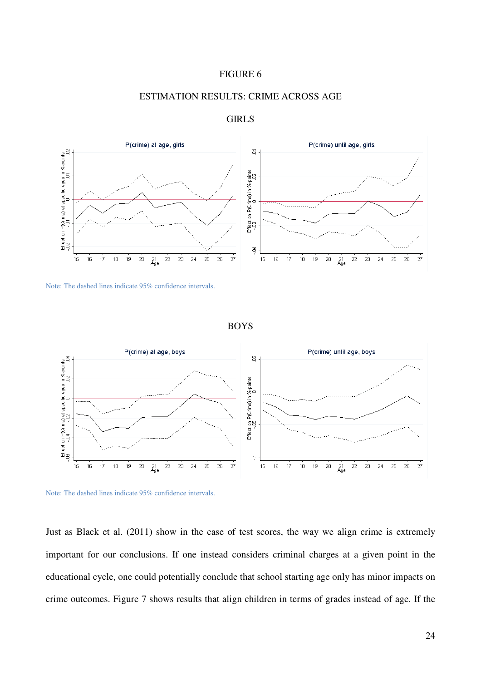



# ESTIMATION RESULTS: CRIME ACROSS AGE



GIRLS

Note: The dashed lines indicate 95% confidence intervals.

BOYS





Just as Black et al. (2011) show in the case of test scores, the way we align crime is extremely important for our conclusions. If one instead considers criminal charges at a given point in the educational cycle, one could potentially conclude that school starting age only has minor impacts on crime outcomes. Figure 7 shows results that align children in terms of grades instead of age. If the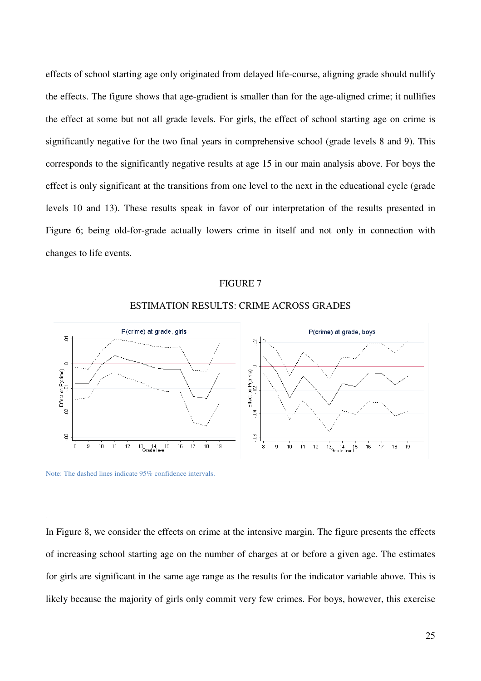effects of school starting age only originated from delayed life-course, aligning grade should nullify the effects. The figure shows that age-gradient is smaller than for the age-aligned crime; it nullifies the effect at some but not all grade levels. For girls, the effect of school starting age on crime is significantly negative for the two final years in comprehensive school (grade levels 8 and 9). This corresponds to the significantly negative results at age 15 in our main analysis above. For boys the effect is only significant at the transitions from one level to the next in the educational cycle (grade levels 10 and 13). These results speak in favor of our interpretation of the results presented in Figure 6; being old-for-grade actually lowers crime in itself and not only in connection with changes to life events.

#### FIGURE 7



#### ESTIMATION RESULTS: CRIME ACROSS GRADES

Note: The dashed lines indicate 95% confidence intervals.

In Figure 8, we consider the effects on crime at the intensive margin. The figure presents the effects of increasing school starting age on the number of charges at or before a given age. The estimates for girls are significant in the same age range as the results for the indicator variable above. This is likely because the majority of girls only commit very few crimes. For boys, however, this exercise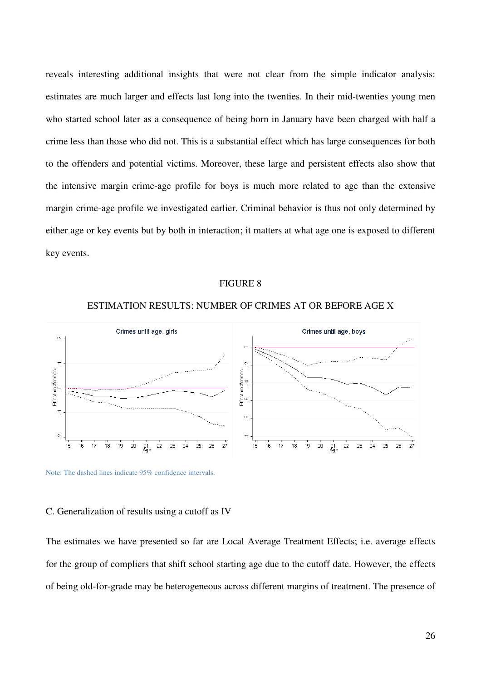reveals interesting additional insights that were not clear from the simple indicator analysis: estimates are much larger and effects last long into the twenties. In their mid-twenties young men who started school later as a consequence of being born in January have been charged with half a crime less than those who did not. This is a substantial effect which has large consequences for both to the offenders and potential victims. Moreover, these large and persistent effects also show that the intensive margin crime-age profile for boys is much more related to age than the extensive margin crime-age profile we investigated earlier. Criminal behavior is thus not only determined by either age or key events but by both in interaction; it matters at what age one is exposed to different key events.

#### FIGURE 8



#### ESTIMATION RESULTS: NUMBER OF CRIMES AT OR BEFORE AGE X

#### Note: The dashed lines indicate 95% confidence intervals.

#### C. Generalization of results using a cutoff as IV

The estimates we have presented so far are Local Average Treatment Effects; i.e. average effects for the group of compliers that shift school starting age due to the cutoff date. However, the effects of being old-for-grade may be heterogeneous across different margins of treatment. The presence of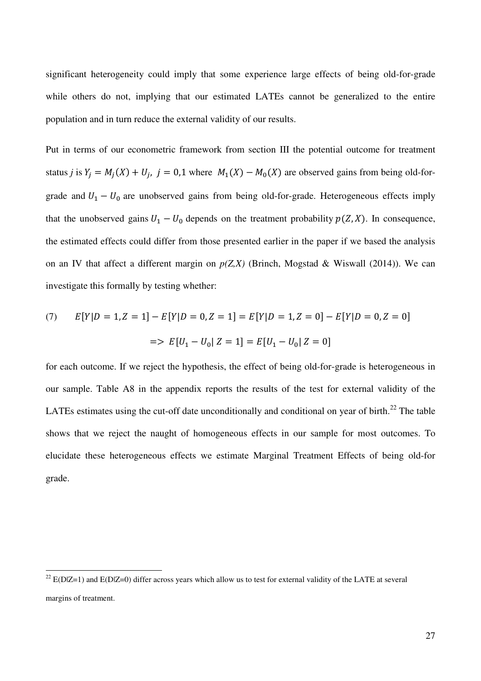significant heterogeneity could imply that some experience large effects of being old-for-grade while others do not, implying that our estimated LATEs cannot be generalized to the entire population and in turn reduce the external validity of our results.

Put in terms of our econometric framework from section III the potential outcome for treatment status *j* is  $Y_j = M_j(X) + U_j$ , *j* = 0,1 where  $M_1(X) - M_0(X)$  are observed gains from being old-forgrade and  $U_1 - U_0$  are unobserved gains from being old-for-grade. Heterogeneous effects imply that the unobserved gains  $U_1 - U_0$  depends on the treatment probability  $p(Z, X)$ . In consequence, the estimated effects could differ from those presented earlier in the paper if we based the analysis on an IV that affect a different margin on  $p(Z,X)$  (Brinch, Mogstad & Wiswall (2014)). We can investigate this formally by testing whether:

(7) 
$$
E[Y|D = 1, Z = 1] - E[Y|D = 0, Z = 1] = E[Y|D = 1, Z = 0] - E[Y|D = 0, Z = 0]
$$

$$
= > E[U_1 - U_0 | Z = 1] = E[U_1 - U_0 | Z = 0]
$$

for each outcome. If we reject the hypothesis, the effect of being old-for-grade is heterogeneous in our sample. Table A8 in the appendix reports the results of the test for external validity of the LATEs estimates using the cut-off date unconditionally and conditional on year of birth. $^{22}$  The table shows that we reject the naught of homogeneous effects in our sample for most outcomes. To elucidate these heterogeneous effects we estimate Marginal Treatment Effects of being old-for grade.

l

<sup>&</sup>lt;sup>22</sup> E(D|Z=1) and E(D|Z=0) differ across years which allow us to test for external validity of the LATE at several margins of treatment.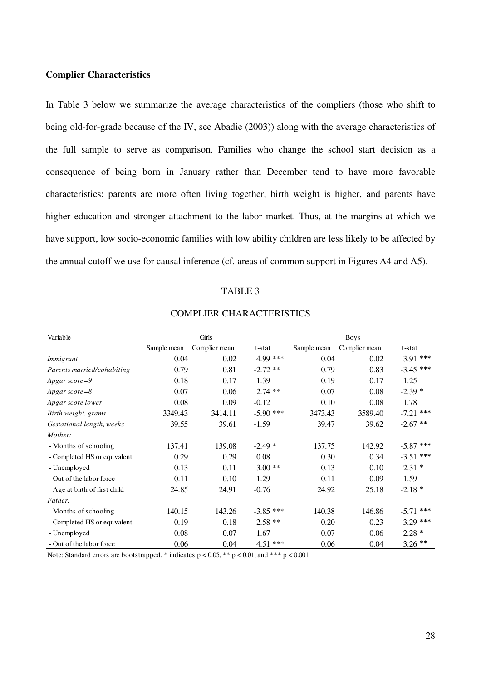#### **Complier Characteristics**

In Table 3 below we summarize the average characteristics of the compliers (those who shift to being old-for-grade because of the IV, see Abadie (2003)) along with the average characteristics of the full sample to serve as comparison. Families who change the school start decision as a consequence of being born in January rather than December tend to have more favorable characteristics: parents are more often living together, birth weight is higher, and parents have higher education and stronger attachment to the labor market. Thus, at the margins at which we have support, low socio-economic families with low ability children are less likely to be affected by the annual cutoff we use for causal inference (cf. areas of common support in Figures A4 and A5).

#### TABLE 3

| Variable                      |             | Girls         |             |             | <b>Boys</b>   |             |
|-------------------------------|-------------|---------------|-------------|-------------|---------------|-------------|
|                               | Sample mean | Complier mean | t-stat      | Sample mean | Complier mean | t-stat      |
| Immigrant                     | 0.04        | 0.02          | 4.99 ***    | 0.04        | 0.02          | $3.91$ ***  |
| Parents married/cohabiting    | 0.79        | 0.81          | $-2.72$ **  | 0.79        | 0.83          | $-3.45$ *** |
| Apgar score=9                 | 0.18        | 0.17          | 1.39        | 0.19        | 0.17          | 1.25        |
| Apgar score=8                 | 0.07        | 0.06          | $2.74$ **   | 0.07        | 0.08          | $-2.39*$    |
| Apgar score lower             | 0.08        | 0.09          | $-0.12$     | 0.10        | 0.08          | 1.78        |
| Birth weight, grams           | 3349.43     | 3414.11       | $-5.90$ *** | 3473.43     | 3589.40       | $-7.21$ *** |
| Gestational length, weeks     | 39.55       | 39.61         | $-1.59$     | 39.47       | 39.62         | $-2.67$ **  |
| Mother:                       |             |               |             |             |               |             |
| - Months of schooling         | 137.41      | 139.08        | $-2.49*$    | 137.75      | 142.92        | $-5.87$ *** |
| - Completed HS or equvalent   | 0.29        | 0.29          | 0.08        | 0.30        | 0.34          | $-3.51$ *** |
| - Unemployed                  | 0.13        | 0.11          | $3.00**$    | 0.13        | 0.10          | $2.31*$     |
| - Out of the labor force      | 0.11        | 0.10          | 1.29        | 0.11        | 0.09          | 1.59        |
| - Age at birth of first child | 24.85       | 24.91         | $-0.76$     | 24.92       | 25.18         | $-2.18*$    |
| Father:                       |             |               |             |             |               |             |
| - Months of schooling         | 140.15      | 143.26        | $-3.85$ *** | 140.38      | 146.86        | $-5.71$ *** |
| - Completed HS or equvalent   | 0.19        | 0.18          | $2.58**$    | 0.20        | 0.23          | $-3.29$ *** |
| - Unemployed                  | 0.08        | 0.07          | 1.67        | 0.07        | 0.06          | $2.28*$     |
| - Out of the labor force      | 0.06        | 0.04          | $4.51***$   | 0.06        | 0.04          | $3.26$ **   |

### COMPLIER CHARACTERISTICS

Note: Standard errors are bootstrapped, \* indicates  $p < 0.05$ , \*\*  $p < 0.01$ , and \*\*\*  $p < 0.001$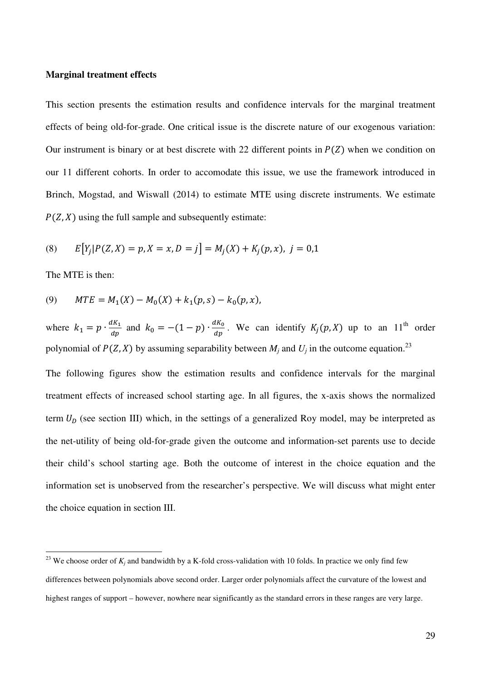#### **Marginal treatment effects**

This section presents the estimation results and confidence intervals for the marginal treatment effects of being old-for-grade. One critical issue is the discrete nature of our exogenous variation: Our instrument is binary or at best discrete with 22 different points in  $P(Z)$  when we condition on our 11 different cohorts. In order to accomodate this issue, we use the framework introduced in Brinch, Mogstad, and Wiswall (2014) to estimate MTE using discrete instruments. We estimate  $P(Z, X)$  using the full sample and subsequently estimate:

(8) 
$$
E[Y_j|P(Z,X) = p, X = x, D = j] = M_j(X) + K_j(p,x), j = 0,1
$$

The MTE is then:

l

(9) 
$$
MTE = M_1(X) - M_0(X) + k_1(p, s) - k_0(p, x),
$$

where  $k_1 = p \cdot \frac{dK_1}{dp}$  $\frac{dK_1}{dp}$  and  $k_0 = -(1-p) \cdot \frac{dK_0}{dp}$ . We can identify  $K_j(p, X)$  up to an  $11^{\text{th}}$  order polynomial of  $P(Z, X)$  by assuming separability between  $M_j$  and  $U_j$  in the outcome equation.<sup>23</sup>

The following figures show the estimation results and confidence intervals for the marginal treatment effects of increased school starting age. In all figures, the x-axis shows the normalized term  $U_D$  (see section III) which, in the settings of a generalized Roy model, may be interpreted as the net-utility of being old-for-grade given the outcome and information-set parents use to decide their child's school starting age. Both the outcome of interest in the choice equation and the information set is unobserved from the researcher's perspective. We will discuss what might enter the choice equation in section III.

<sup>&</sup>lt;sup>23</sup> We choose order of  $K_j$  and bandwidth by a K-fold cross-validation with 10 folds. In practice we only find few differences between polynomials above second order. Larger order polynomials affect the curvature of the lowest and highest ranges of support – however, nowhere near significantly as the standard errors in these ranges are very large.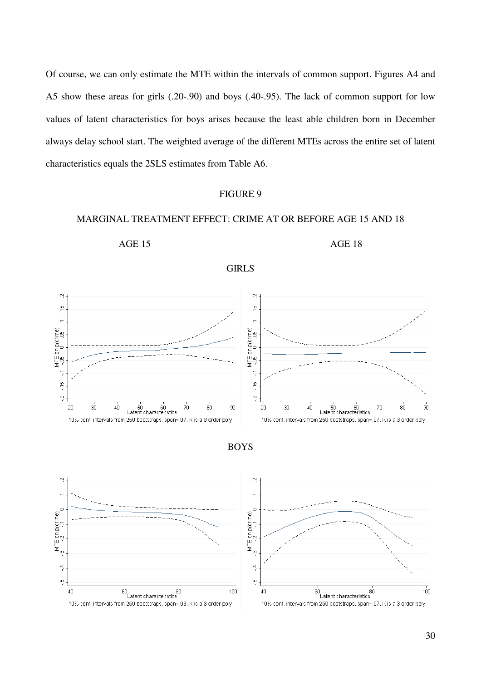Of course, we can only estimate the MTE within the intervals of common support. Figures A4 and A5 show these areas for girls (.20-.90) and boys (.40-.95). The lack of common support for low values of latent characteristics for boys arises because the least able children born in December always delay school start. The weighted average of the different MTEs across the entire set of latent characteristics equals the 2SLS estimates from Table A6.

#### FIGURE 9

#### MARGINAL TREATMENT EFFECT: CRIME AT OR BEFORE AGE 15 AND 18

GIRLS

AGE 15 AGE 18



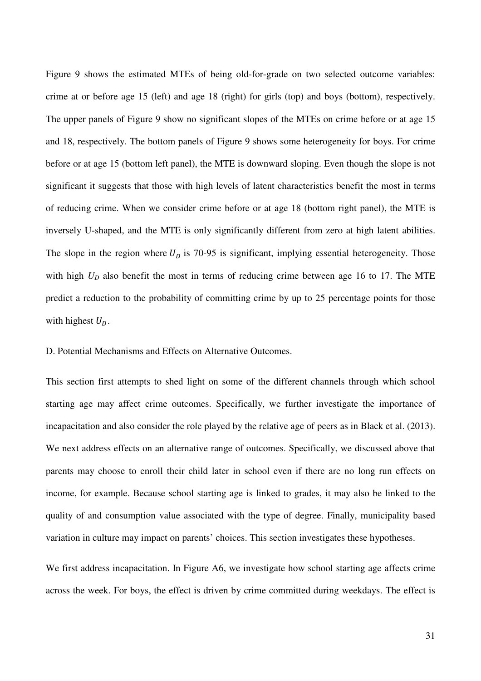Figure 9 shows the estimated MTEs of being old-for-grade on two selected outcome variables: crime at or before age 15 (left) and age 18 (right) for girls (top) and boys (bottom), respectively. The upper panels of Figure 9 show no significant slopes of the MTEs on crime before or at age 15 and 18, respectively. The bottom panels of Figure 9 shows some heterogeneity for boys. For crime before or at age 15 (bottom left panel), the MTE is downward sloping. Even though the slope is not significant it suggests that those with high levels of latent characteristics benefit the most in terms of reducing crime. When we consider crime before or at age 18 (bottom right panel), the MTE is inversely U-shaped, and the MTE is only significantly different from zero at high latent abilities. The slope in the region where  $U_p$  is 70-95 is significant, implying essential heterogeneity. Those with high  $U_D$  also benefit the most in terms of reducing crime between age 16 to 17. The MTE predict a reduction to the probability of committing crime by up to 25 percentage points for those with highest  $U_D$ .

D. Potential Mechanisms and Effects on Alternative Outcomes.

This section first attempts to shed light on some of the different channels through which school starting age may affect crime outcomes. Specifically, we further investigate the importance of incapacitation and also consider the role played by the relative age of peers as in Black et al. (2013). We next address effects on an alternative range of outcomes. Specifically, we discussed above that parents may choose to enroll their child later in school even if there are no long run effects on income, for example. Because school starting age is linked to grades, it may also be linked to the quality of and consumption value associated with the type of degree. Finally, municipality based variation in culture may impact on parents' choices. This section investigates these hypotheses.

We first address incapacitation. In Figure A6, we investigate how school starting age affects crime across the week. For boys, the effect is driven by crime committed during weekdays. The effect is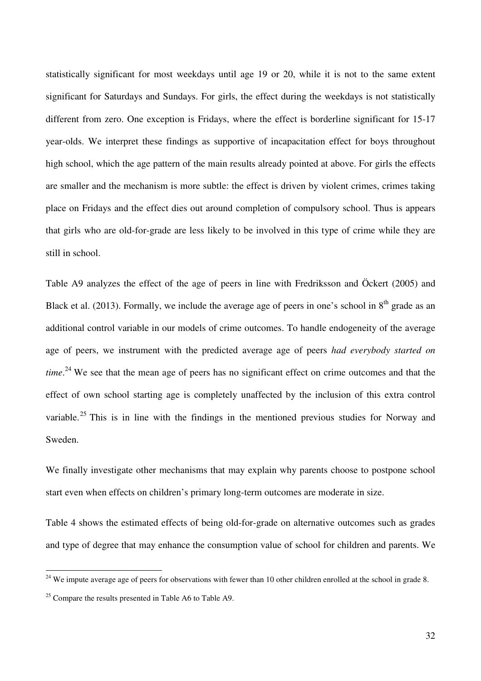statistically significant for most weekdays until age 19 or 20, while it is not to the same extent significant for Saturdays and Sundays. For girls, the effect during the weekdays is not statistically different from zero. One exception is Fridays, where the effect is borderline significant for 15-17 year-olds. We interpret these findings as supportive of incapacitation effect for boys throughout high school, which the age pattern of the main results already pointed at above. For girls the effects are smaller and the mechanism is more subtle: the effect is driven by violent crimes, crimes taking place on Fridays and the effect dies out around completion of compulsory school. Thus is appears that girls who are old-for-grade are less likely to be involved in this type of crime while they are still in school.

Table A9 analyzes the effect of the age of peers in line with Fredriksson and Öckert (2005) and Black et al. (2013). Formally, we include the average age of peers in one's school in  $8<sup>th</sup>$  grade as an additional control variable in our models of crime outcomes. To handle endogeneity of the average age of peers, we instrument with the predicted average age of peers *had everybody started on time*. <sup>24</sup> We see that the mean age of peers has no significant effect on crime outcomes and that the effect of own school starting age is completely unaffected by the inclusion of this extra control variable.<sup>25</sup> This is in line with the findings in the mentioned previous studies for Norway and Sweden.

We finally investigate other mechanisms that may explain why parents choose to postpone school start even when effects on children's primary long-term outcomes are moderate in size.

Table 4 shows the estimated effects of being old-for-grade on alternative outcomes such as grades and type of degree that may enhance the consumption value of school for children and parents. We

l

 $24$  We impute average age of peers for observations with fewer than 10 other children enrolled at the school in grade 8.

<sup>&</sup>lt;sup>25</sup> Compare the results presented in Table A6 to Table A9.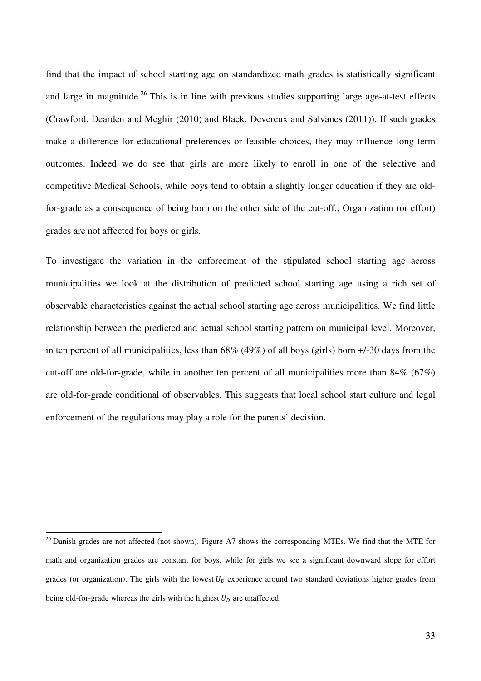find that the impact of school starting age on standardized math grades is statistically significant and large in magnitude.<sup>26</sup> This is in line with previous studies supporting large age-at-test effects (Crawford, Dearden and Meghir (2010) and Black, Devereux and Salvanes (2011)). If such grades make a difference for educational preferences or feasible choices, they may influence long term outcomes. Indeed we do see that girls are more likely to enroll in one of the selective and competitive Medical Schools, while boys tend to obtain a slightly longer education if they are oldfor-grade as a consequence of being born on the other side of the cut-off., Organization (or effort) grades are not affected for boys or girls.

To investigate the variation in the enforcement of the stipulated school starting age across municipalities we look at the distribution of predicted school starting age using a rich set of observable characteristics against the actual school starting age across municipalities. We find little relationship between the predicted and actual school starting pattern on municipal level. Moreover, in ten percent of all municipalities, less than 68% (49%) of all boys (girls) born +/-30 days from the cut-off are old-for-grade, while in another ten percent of all municipalities more than 84% (67%) are old-for-grade conditional of observables. This suggests that local school start culture and legal enforcement of the regulations may play a role for the parents' decision.

l

<sup>&</sup>lt;sup>26</sup> Danish grades are not affected (not shown). Figure A7 shows the corresponding MTEs. We find that the MTE for math and organization grades are constant for boys, while for girls we see a significant downward slope for effort grades (or organization). The girls with the lowest  $U_D$  experience around two standard deviations higher grades from being old-for-grade whereas the girls with the highest  $U_p$  are unaffected.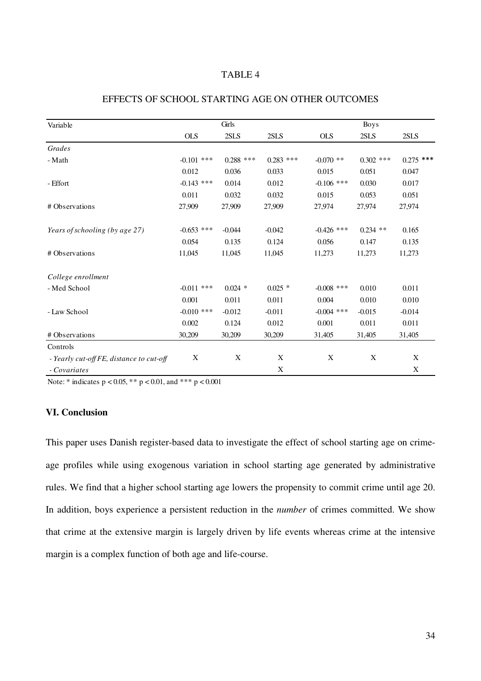#### TABLE 4

| Variable                                 |              | Girls       |             |              | <b>Boys</b> |             |
|------------------------------------------|--------------|-------------|-------------|--------------|-------------|-------------|
|                                          | <b>OLS</b>   | 2SLS        | 2SLS        | <b>OLS</b>   | 2SLS        | 2SLS        |
| Grades                                   |              |             |             |              |             |             |
| - Math                                   | $-0.101$ *** | $0.288$ *** | $0.283$ *** | $-0.070$ **  | $0.302$ *** | $0.275$ *** |
|                                          | 0.012        | 0.036       | 0.033       | 0.015        | 0.051       | 0.047       |
| - Effort                                 | $-0.143$ *** | 0.014       | 0.012       | $-0.106$ *** | 0.030       | 0.017       |
|                                          | 0.011        | 0.032       | 0.032       | 0.015        | 0.053       | 0.051       |
| # Observations                           | 27,909       | 27,909      | 27,909      | 27,974       | 27,974      | 27,974      |
| Years of schooling (by age 27)           | $-0.653$ *** | $-0.044$    | $-0.042$    | $-0.426$ *** | $0.234$ **  | 0.165       |
|                                          | 0.054        | 0.135       | 0.124       | 0.056        | 0.147       | 0.135       |
| # Observations                           | 11,045       | 11,045      | 11,045      | 11,273       | 11,273      | 11,273      |
| College enrollment                       |              |             |             |              |             |             |
| - Med School                             | $-0.011$ *** | $0.024$ *   | $0.025$ *   | $-0.008$ *** | 0.010       | 0.011       |
|                                          | 0.001        | 0.011       | 0.011       | 0.004        | 0.010       | 0.010       |
| - Law School                             | $-0.010$ *** | $-0.012$    | $-0.011$    | $-0.004$ *** | $-0.015$    | $-0.014$    |
|                                          | 0.002        | 0.124       | 0.012       | 0.001        | 0.011       | 0.011       |
| # Observations                           | 30,209       | 30,209      | 30,209      | 31,405       | 31,405      | 31,405      |
| Controls                                 |              |             |             |              |             |             |
| - Yearly cut-off FE, distance to cut-off | X            | X           | X           | X            | X           | X           |
| - Covariates                             |              |             | X           |              |             | X           |

# EFFECTS OF SCHOOL STARTING AGE ON OTHER OUTCOMES

Note: \* indicates p < 0.05, \*\* p < 0.01, and \*\*\* p < 0.001

#### **VI. Conclusion**

This paper uses Danish register-based data to investigate the effect of school starting age on crimeage profiles while using exogenous variation in school starting age generated by administrative rules. We find that a higher school starting age lowers the propensity to commit crime until age 20. In addition, boys experience a persistent reduction in the *number* of crimes committed. We show that crime at the extensive margin is largely driven by life events whereas crime at the intensive margin is a complex function of both age and life-course.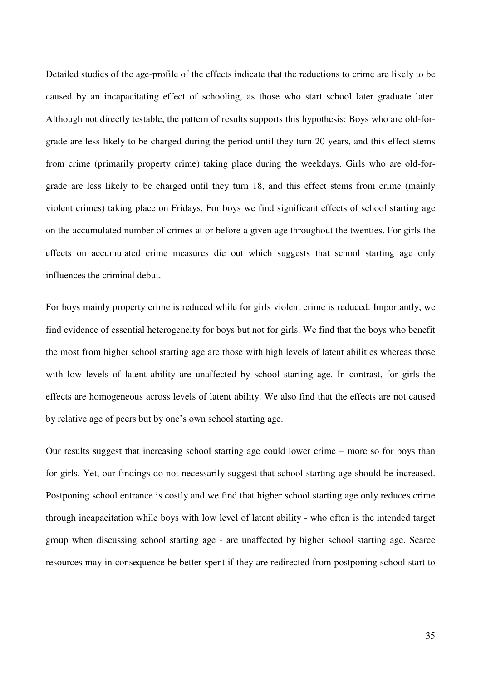Detailed studies of the age-profile of the effects indicate that the reductions to crime are likely to be caused by an incapacitating effect of schooling, as those who start school later graduate later. Although not directly testable, the pattern of results supports this hypothesis: Boys who are old-forgrade are less likely to be charged during the period until they turn 20 years, and this effect stems from crime (primarily property crime) taking place during the weekdays. Girls who are old-forgrade are less likely to be charged until they turn 18, and this effect stems from crime (mainly violent crimes) taking place on Fridays. For boys we find significant effects of school starting age on the accumulated number of crimes at or before a given age throughout the twenties. For girls the effects on accumulated crime measures die out which suggests that school starting age only influences the criminal debut.

For boys mainly property crime is reduced while for girls violent crime is reduced. Importantly, we find evidence of essential heterogeneity for boys but not for girls. We find that the boys who benefit the most from higher school starting age are those with high levels of latent abilities whereas those with low levels of latent ability are unaffected by school starting age. In contrast, for girls the effects are homogeneous across levels of latent ability. We also find that the effects are not caused by relative age of peers but by one's own school starting age.

Our results suggest that increasing school starting age could lower crime – more so for boys than for girls. Yet, our findings do not necessarily suggest that school starting age should be increased. Postponing school entrance is costly and we find that higher school starting age only reduces crime through incapacitation while boys with low level of latent ability - who often is the intended target group when discussing school starting age - are unaffected by higher school starting age. Scarce resources may in consequence be better spent if they are redirected from postponing school start to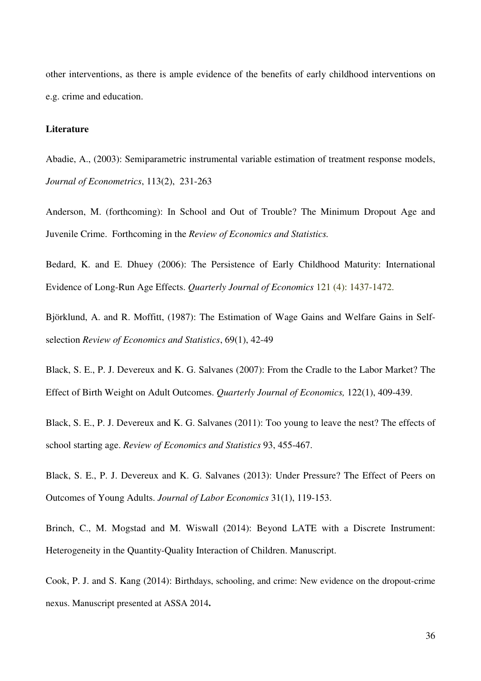other interventions, as there is ample evidence of the benefits of early childhood interventions on e.g. crime and education.

#### **Literature**

Abadie, A., (2003): Semiparametric instrumental variable estimation of treatment response models, *Journal of Econometrics*, 113(2), 231-263

Anderson, M. (forthcoming): In School and Out of Trouble? The Minimum Dropout Age and Juvenile Crime. Forthcoming in the *Review of Economics and Statistics.*

Bedard, K. and E. Dhuey (2006): The Persistence of Early Childhood Maturity: International Evidence of Long-Run Age Effects. *Quarterly Journal of Economics* 121 (4): 1437-1472.

Björklund, A. and R. Moffitt, (1987): The Estimation of Wage Gains and Welfare Gains in Selfselection *Review of Economics and Statistics*, 69(1), 42-49

Black, S. E., P. J. Devereux and K. G. Salvanes (2007): From the Cradle to the Labor Market? The Effect of Birth Weight on Adult Outcomes. *Quarterly Journal of Economics,* 122(1), 409-439.

Black, S. E., P. J. Devereux and K. G. Salvanes (2011): Too young to leave the nest? The effects of school starting age. *Review of Economics and Statistics* 93, 455-467.

Black, S. E., P. J. Devereux and K. G. Salvanes (2013): Under Pressure? The Effect of Peers on Outcomes of Young Adults. *Journal of Labor Economics* 31(1), 119-153.

Brinch, C., M. Mogstad and M. Wiswall (2014): Beyond LATE with a Discrete Instrument: Heterogeneity in the Quantity-Quality Interaction of Children. Manuscript.

Cook, P. J. and S. Kang (2014): Birthdays, schooling, and crime: New evidence on the dropout-crime nexus. Manuscript presented at ASSA 2014**.**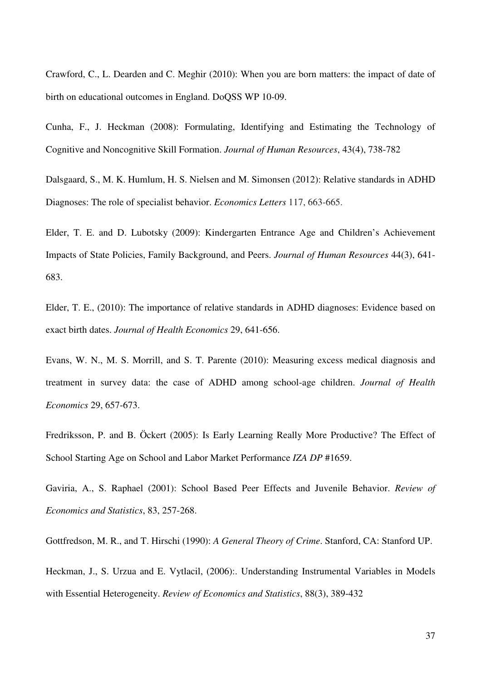Crawford, C., L. Dearden and C. Meghir (2010): When you are born matters: the impact of date of birth on educational outcomes in England. DoQSS WP 10-09.

Cunha, F., J. Heckman (2008): Formulating, Identifying and Estimating the Technology of Cognitive and Noncognitive Skill Formation. *Journal of Human Resources*, 43(4), 738-782

Dalsgaard, S., M. K. Humlum, H. S. Nielsen and M. Simonsen (2012): Relative standards in ADHD Diagnoses: The role of specialist behavior. *Economics Letters* 117, 663-665.

Elder, T. E. and D. Lubotsky (2009): Kindergarten Entrance Age and Children's Achievement Impacts of State Policies, Family Background, and Peers. *Journal of Human Resources* 44(3), 641- 683.

Elder, T. E., (2010): The importance of relative standards in ADHD diagnoses: Evidence based on exact birth dates. *Journal of Health Economics* 29, 641-656.

Evans, W. N., M. S. Morrill, and S. T. Parente (2010): Measuring excess medical diagnosis and treatment in survey data: the case of ADHD among school-age children. *Journal of Health Economics* 29, 657-673.

Fredriksson, P. and B. Öckert (2005): Is Early Learning Really More Productive? The Effect of School Starting Age on School and Labor Market Performance *IZA DP* #1659.

Gaviria, A., S. Raphael (2001): School Based Peer Effects and Juvenile Behavior. *Review of Economics and Statistics*, 83, 257-268.

Gottfredson, M. R., and T. Hirschi (1990): *A General Theory of Crime*. Stanford, CA: Stanford UP.

Heckman, J., S. Urzua and E. Vytlacil, (2006):. Understanding Instrumental Variables in Models with Essential Heterogeneity. *Review of Economics and Statistics*, 88(3), 389-432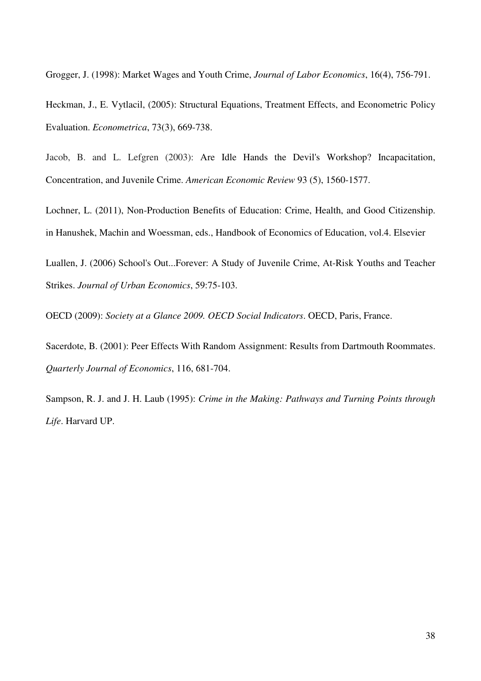Grogger, J. (1998): Market Wages and Youth Crime, *Journal of Labor Economics*, 16(4), 756-791.

Heckman, J., E. Vytlacil, (2005): Structural Equations, Treatment Effects, and Econometric Policy Evaluation. *Econometrica*, 73(3), 669-738.

Jacob, B. and L. Lefgren (2003): Are Idle Hands the Devil's Workshop? Incapacitation, Concentration, and Juvenile Crime. *American Economic Review* 93 (5), 1560-1577.

Lochner, L. (2011), Non-Production Benefits of Education: Crime, Health, and Good Citizenship. in Hanushek, Machin and Woessman, eds., Handbook of Economics of Education, vol.4. Elsevier

Luallen, J. (2006) School's Out...Forever: A Study of Juvenile Crime, At-Risk Youths and Teacher Strikes. *Journal of Urban Economics*, 59:75-103.

OECD (2009): *Society at a Glance 2009. OECD Social Indicators*. OECD, Paris, France.

Sacerdote, B. (2001): Peer Effects With Random Assignment: Results from Dartmouth Roommates. *Quarterly Journal of Economics*, 116, 681-704.

Sampson, R. J. and J. H. Laub (1995): *Crime in the Making: Pathways and Turning Points through Life*. Harvard UP.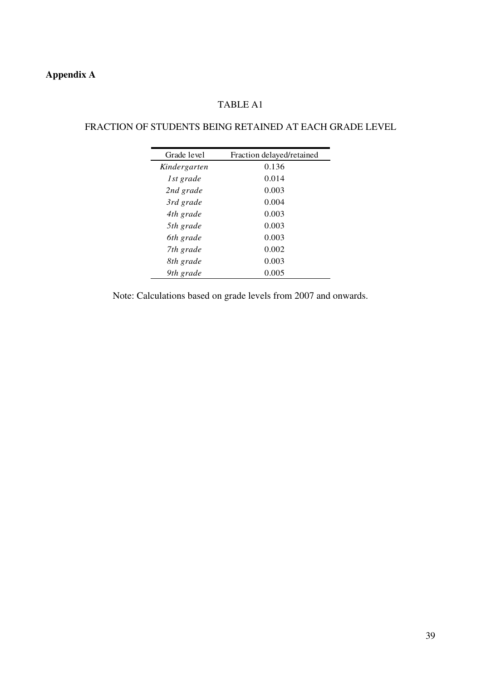# **Appendix A**

# TABLE A1

# FRACTION OF STUDENTS BEING RETAINED AT EACH GRADE LEVEL

| Grade level  | Fraction delayed/retained |
|--------------|---------------------------|
| Kindergarten | 0.136                     |
| 1st grade    | 0.014                     |
| 2nd grade    | 0.003                     |
| 3rd grade    | 0.004                     |
| 4th grade    | 0.003                     |
| 5th grade    | 0.003                     |
| 6th grade    | 0.003                     |
| 7th grade    | 0.002                     |
| 8th grade    | 0.003                     |
| 9th grade    | 0.005                     |

Note: Calculations based on grade levels from 2007 and onwards.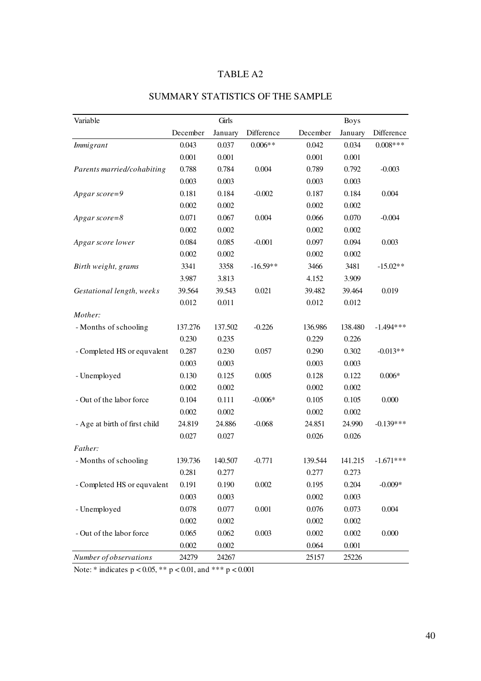| Variable                      |          | Girls   |            |          | <b>Boys</b> |             |
|-------------------------------|----------|---------|------------|----------|-------------|-------------|
|                               | December | January | Difference | December | January     | Difference  |
| <b>Immigrant</b>              | 0.043    | 0.037   | $0.006**$  | 0.042    | 0.034       | $0.008***$  |
|                               | 0.001    | 0.001   |            | 0.001    | 0.001       |             |
| Parents married/cohabiting    | 0.788    | 0.784   | 0.004      | 0.789    | 0.792       | $-0.003$    |
|                               | 0.003    | 0.003   |            | 0.003    | 0.003       |             |
| Apgar score=9                 | 0.181    | 0.184   | $-0.002$   | 0.187    | 0.184       | 0.004       |
|                               | 0.002    | 0.002   |            | 0.002    | 0.002       |             |
| $A$ pgar score=8              | 0.071    | 0.067   | 0.004      | 0.066    | 0.070       | $-0.004$    |
|                               | 0.002    | 0.002   |            | 0.002    | 0.002       |             |
| Apgar score lower             | 0.084    | 0.085   | $-0.001$   | 0.097    | 0.094       | 0.003       |
|                               | 0.002    | 0.002   |            | 0.002    | 0.002       |             |
| Birth weight, grams           | 3341     | 3358    | $-16.59**$ | 3466     | 3481        | $-15.02**$  |
|                               | 3.987    | 3.813   |            | 4.152    | 3.909       |             |
| Gestational length, weeks     | 39.564   | 39.543  | 0.021      | 39.482   | 39.464      | 0.019       |
|                               | 0.012    | 0.011   |            | 0.012    | 0.012       |             |
| Mother:                       |          |         |            |          |             |             |
| - Months of schooling         | 137.276  | 137.502 | $-0.226$   | 136.986  | 138.480     | $-1.494***$ |
|                               | 0.230    | 0.235   |            | 0.229    | 0.226       |             |
| - Completed HS or equvalent   | 0.287    | 0.230   | 0.057      | 0.290    | 0.302       | $-0.013**$  |
|                               | 0.003    | 0.003   |            | 0.003    | 0.003       |             |
| - Unemployed                  | 0.130    | 0.125   | 0.005      | 0.128    | 0.122       | $0.006*$    |
|                               | 0.002    | 0.002   |            | 0.002    | 0.002       |             |
| - Out of the labor force      | 0.104    | 0.111   | $-0.006*$  | 0.105    | 0.105       | 0.000       |
|                               | 0.002    | 0.002   |            | 0.002    | 0.002       |             |
| - Age at birth of first child | 24.819   | 24.886  | $-0.068$   | 24.851   | 24.990      | $-0.139***$ |
|                               | 0.027    | 0.027   |            | 0.026    | 0.026       |             |
| Father:                       |          |         |            |          |             |             |
| - Months of schooling         | 139.736  | 140.507 | $-0.771$   | 139.544  | 141.215     | $-1.671***$ |
|                               | 0.281    | 0.277   |            | 0.277    | 0.273       |             |
| - Completed HS or equvalent   | 0.191    | 0.190   | 0.002      | 0.195    | 0.204       | $-0.009*$   |
|                               | 0.003    | 0.003   |            | 0.002    | 0.003       |             |
| - Unemployed                  | 0.078    | 0.077   | $0.001\,$  | 0.076    | 0.073       | 0.004       |
|                               | 0.002    | 0.002   |            | 0.002    | 0.002       |             |
| - Out of the labor force      | 0.065    | 0.062   | 0.003      | 0.002    | 0.002       | 0.000       |
|                               | 0.002    | 0.002   |            | 0.064    | 0.001       |             |
| Number of observations        | 24279    | 24267   |            | 25157    | 25226       |             |

# SUMMARY STATISTICS OF THE SAMPLE

Note: \* indicates  $p < 0.05$ , \*\*  $p < 0.01$ , and \*\*\*  $p < 0.001$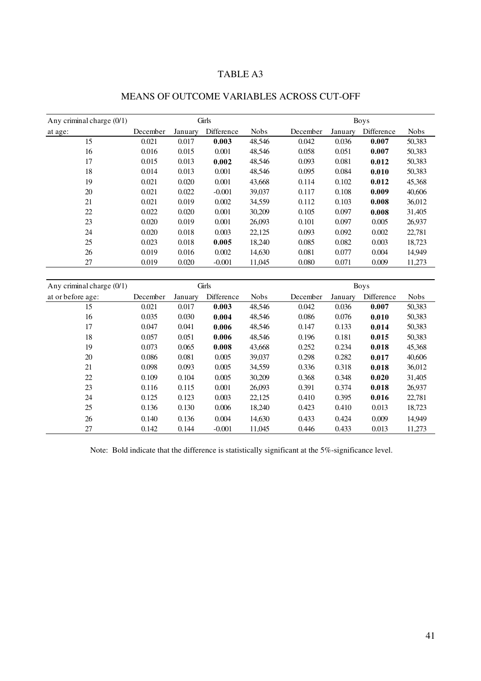| Any criminal charge $(0/1)$ |          |         | Girls      |             |          |         | <b>Boys</b> |             |
|-----------------------------|----------|---------|------------|-------------|----------|---------|-------------|-------------|
| at age:                     | December | January | Difference | <b>Nobs</b> | December | January | Difference  | <b>Nobs</b> |
| 15                          | 0.021    | 0.017   | 0.003      | 48,546      | 0.042    | 0.036   | 0.007       | 50,383      |
| 16                          | 0.016    | 0.015   | 0.001      | 48,546      | 0.058    | 0.051   | 0.007       | 50,383      |
| 17                          | 0.015    | 0.013   | 0.002      | 48,546      | 0.093    | 0.081   | 0.012       | 50,383      |
| 18                          | 0.014    | 0.013   | 0.001      | 48,546      | 0.095    | 0.084   | 0.010       | 50,383      |
| 19                          | 0.021    | 0.020   | 0.001      | 43.668      | 0.114    | 0.102   | 0.012       | 45,368      |
| 20                          | 0.021    | 0.022   | $-0.001$   | 39,037      | 0.117    | 0.108   | 0.009       | 40,606      |
| 21                          | 0.021    | 0.019   | 0.002      | 34,559      | 0.112    | 0.103   | 0.008       | 36,012      |
| 22                          | 0.022    | 0.020   | 0.001      | 30,209      | 0.105    | 0.097   | 0.008       | 31,405      |
| 23                          | 0.020    | 0.019   | 0.001      | 26,093      | 0.101    | 0.097   | 0.005       | 26,937      |
| 24                          | 0.020    | 0.018   | 0.003      | 22,125      | 0.093    | 0.092   | 0.002       | 22,781      |
| 25                          | 0.023    | 0.018   | 0.005      | 18,240      | 0.085    | 0.082   | 0.003       | 18,723      |
| 26                          | 0.019    | 0.016   | 0.002      | 14,630      | 0.081    | 0.077   | 0.004       | 14,949      |
| 27                          | 0.019    | 0.020   | $-0.001$   | 11,045      | 0.080    | 0.071   | 0.009       | 11,273      |

# MEANS OF OUTCOME VARIABLES ACROSS CUT-OFF

| Any criminal charge $(0/1)$ |          |         | Girls      |             |          |         | <b>Boys</b> |             |
|-----------------------------|----------|---------|------------|-------------|----------|---------|-------------|-------------|
| at or before age:           | December | January | Difference | <b>Nobs</b> | December | January | Difference  | <b>Nobs</b> |
| 15                          | 0.021    | 0.017   | 0.003      | 48,546      | 0.042    | 0.036   | 0.007       | 50,383      |
| 16                          | 0.035    | 0.030   | 0.004      | 48,546      | 0.086    | 0.076   | 0.010       | 50,383      |
| 17                          | 0.047    | 0.041   | 0.006      | 48,546      | 0.147    | 0.133   | 0.014       | 50,383      |
| 18                          | 0.057    | 0.051   | 0.006      | 48,546      | 0.196    | 0.181   | 0.015       | 50,383      |
| 19                          | 0.073    | 0.065   | 0.008      | 43,668      | 0.252    | 0.234   | 0.018       | 45,368      |
| 20                          | 0.086    | 0.081   | 0.005      | 39,037      | 0.298    | 0.282   | 0.017       | 40,606      |
| 21                          | 0.098    | 0.093   | 0.005      | 34,559      | 0.336    | 0.318   | 0.018       | 36,012      |
| 22                          | 0.109    | 0.104   | 0.005      | 30,209      | 0.368    | 0.348   | 0.020       | 31,405      |
| 23                          | 0.116    | 0.115   | 0.001      | 26,093      | 0.391    | 0.374   | 0.018       | 26,937      |
| 24                          | 0.125    | 0.123   | 0.003      | 22,125      | 0.410    | 0.395   | 0.016       | 22,781      |
| 25                          | 0.136    | 0.130   | 0.006      | 18,240      | 0.423    | 0.410   | 0.013       | 18,723      |
| 26                          | 0.140    | 0.136   | 0.004      | 14.630      | 0.433    | 0.424   | 0.009       | 14,949      |
| 27                          | 0.142    | 0.144   | $-0.001$   | 11,045      | 0.446    | 0.433   | 0.013       | 11,273      |

Note: Bold indicate that the difference is statistically significant at the 5%-significance level.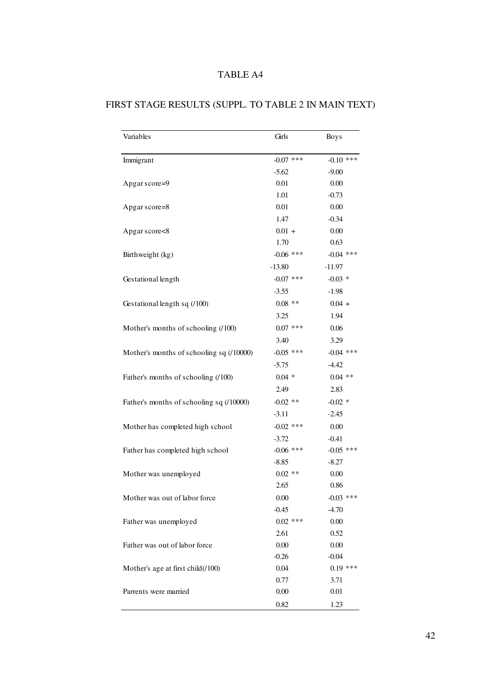| Variables                                | Girls       | <b>Boys</b> |
|------------------------------------------|-------------|-------------|
| Immigrant                                | $-0.07$ *** | $-0.10$ *** |
|                                          | $-5.62$     | $-9.00$     |
| Apgar score=9                            | 0.01        | 0.00        |
|                                          | 1.01        | $-0.73$     |
| Apgar score=8                            | 0.01        | 0.00        |
|                                          | 1.47        | $-0.34$     |
| Apgar score<8                            | $0.01 +$    | 0.00        |
|                                          | 1.70        | 0.63        |
| Birthweight (kg)                         | $-0.06$ *** | $-0.04$ *** |
|                                          | $-13.80$    | $-11.97$    |
| Gestational length                       | $-0.07$ *** | $-0.03$ *   |
|                                          | $-3.55$     | $-1.98$     |
| Gestational length sq (/100)             | $0.08$ **   | $0.04 +$    |
|                                          | 3.25        | 1.94        |
| Mother's months of schooling (/100)      | $0.07$ ***  | 0.06        |
|                                          | 3.40        | 3.29        |
| Mother's months of schooling sq (/10000) | $-0.05$ *** | $-0.04$ *** |
|                                          | $-5.75$     | $-4.42$     |
| Father's months of schooling (/100)      | $0.04 *$    | $0.04$ **   |
|                                          | 2.49        | 2.83        |
| Father's months of schooling sq (/10000) | $-0.02$ **  | $-0.02$ *   |
|                                          | $-3.11$     | $-2.45$     |
| Mother has completed high school         | $-0.02$ *** | 0.00        |
|                                          | $-3.72$     | $-0.41$     |
| Father has completed high school         | $-0.06$ *** | $-0.05$ *** |
|                                          | $-8.85$     | $-8.27$     |
| Mother was unemployed                    | $0.02$ **   | 0.00        |
|                                          | 2.65        | 0.86        |
| Mother was out of labor force            | 0.00        | $-0.03$ *** |
|                                          | $-0.45$     | $-4.70$     |
| Father was unemployed                    | $0.02$ ***  | 0.00        |
|                                          | 2.61        | 0.52        |
| Father was out of labor force            | 0.00        | 0.00        |
|                                          | $-0.26$     | $-0.04$     |
| Mother's age at first child(/100)        | 0.04        | $0.19$ ***  |
|                                          | 0.77        | 3.71        |
| Parrents were married                    | 0.00        | 0.01        |
|                                          | 0.82        | 1.23        |

# FIRST STAGE RESULTS (SUPPL. TO TABLE 2 IN MAIN TEXT)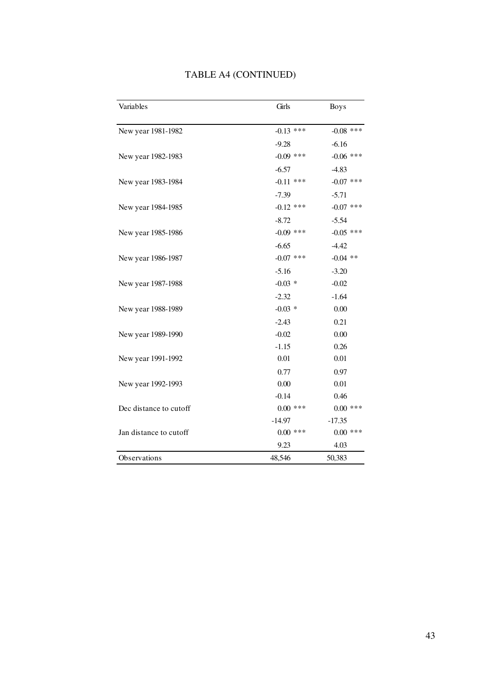| Variables              | Girls       | <b>Boys</b> |
|------------------------|-------------|-------------|
|                        |             |             |
| New year 1981-1982     | $-0.13$ *** | $-0.08$ *** |
|                        | $-9.28$     | $-6.16$     |
| New year 1982-1983     | $-0.09$ *** | $-0.06$ *** |
|                        | $-6.57$     | $-4.83$     |
| New year 1983-1984     | $-0.11$ *** | $-0.07$ *** |
|                        | $-7.39$     | $-5.71$     |
| New year 1984-1985     | $-0.12$ *** | $-0.07$ *** |
|                        | $-8.72$     | $-5.54$     |
| New year 1985-1986     | $-0.09$ *** | $-0.05$ *** |
|                        | $-6.65$     | $-4.42$     |
| New year 1986-1987     | $-0.07$ *** | $-0.04$ **  |
|                        | $-5.16$     | $-3.20$     |
| New year 1987-1988     | $-0.03$ *   | $-0.02$     |
|                        | $-2.32$     | $-1.64$     |
| New year 1988-1989     | $-0.03$ *   | 0.00        |
|                        | $-2.43$     | 0.21        |
| New year 1989-1990     | $-0.02$     | 0.00        |
|                        | $-1.15$     | 0.26        |
| New year 1991-1992     | 0.01        | 0.01        |
|                        | 0.77        | 0.97        |
| New year 1992-1993     | 0.00        | 0.01        |
|                        | $-0.14$     | 0.46        |
| Dec distance to cutoff | $0.00$ ***  | $0.00$ ***  |
|                        | $-14.97$    | $-17.35$    |
| Jan distance to cutoff | $0.00$ ***  | $0.00$ ***  |
|                        | 9.23        | 4.03        |
| Observations           | 48,546      | 50,383      |

# TABLE A4 (CONTINUED)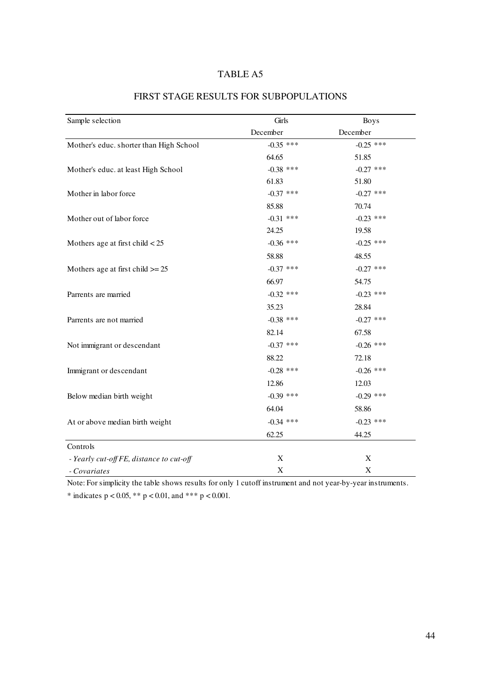| Sample selection                         | Girls       | <b>Boys</b> |
|------------------------------------------|-------------|-------------|
|                                          | December    | December    |
| Mother's educ. shorter than High School  | $-0.35$ *** | $-0.25$ *** |
|                                          | 64.65       | 51.85       |
| Mother's educ. at least High School      | $-0.38$ *** | $-0.27$ *** |
|                                          | 61.83       | 51.80       |
| Mother in labor force                    | $-0.37$ *** | $-0.27$ *** |
|                                          | 85.88       | 70.74       |
| Mother out of labor force                | $-0.31$ *** | $-0.23$ *** |
|                                          | 24.25       | 19.58       |
| Mothers age at first child $< 25$        | $-0.36$ *** | $-0.25$ *** |
|                                          | 58.88       | 48.55       |
| Mothers age at first child $\geq$ 25     | $-0.37$ *** | $-0.27$ *** |
|                                          | 66.97       | 54.75       |
| Parrents are married                     | $-0.32$ *** | $-0.23$ *** |
|                                          | 35.23       | 28.84       |
| Parrents are not married                 | $-0.38$ *** | $-0.27$ *** |
|                                          | 82.14       | 67.58       |
| Not immigrant or descendant              | $-0.37$ *** | $-0.26$ *** |
|                                          | 88.22       | 72.18       |
| Immigrant or descendant                  | $-0.28$ *** | $-0.26$ *** |
|                                          | 12.86       | 12.03       |
| Below median birth weight                | $-0.39$ *** | $-0.29$ *** |
|                                          | 64.04       | 58.86       |
| At or above median birth weight          | $-0.34$ *** | $-0.23$ *** |
|                                          | 62.25       | 44.25       |
| Controls                                 |             |             |
| - Yearly cut-off FE, distance to cut-off | X           | X           |
| - Covariates                             | $\mathbf X$ | X           |

# FIRST STAGE RESULTS FOR SUBPOPULATIONS

Note: For simplicity the table shows results for only 1 cutoff instrument and not year-by-year instruments. \* indicates  $p < 0.05$ , \*\*  $p < 0.01$ , and \*\*\*  $p < 0.001$ .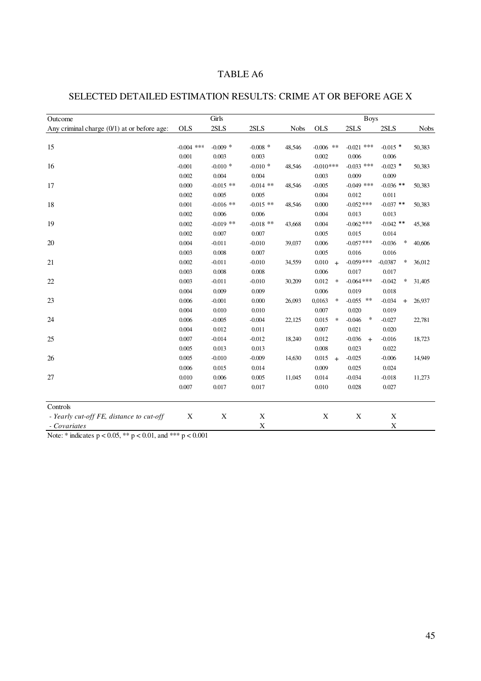# SELECTED DETAILED ESTIMATION RESULTS: CRIME AT OR BEFORE AGE X

| Outcome                                       |              | Girls       |             |             |                         | <b>Boys</b>        |                     |             |
|-----------------------------------------------|--------------|-------------|-------------|-------------|-------------------------|--------------------|---------------------|-------------|
| Any criminal charge $(0/1)$ at or before age: | <b>OLS</b>   | 2SLS        | 2SLS        | <b>Nobs</b> | <b>OLS</b>              | 2SLS               | 2SLS                | <b>Nobs</b> |
|                                               |              |             |             |             |                         |                    |                     |             |
| 15                                            | $-0.004$ *** | $-0.009$ *  | $-0.008$ *  | 48,546      | $-0.006$ **             | $-0.021$ ***       | $-0.015$ *          | 50,383      |
|                                               | 0.001        | 0.003       | 0.003       |             | 0.002                   | 0.006              | 0.006               |             |
| 16                                            | $-0.001$     | $-0.010*$   | $-0.010*$   | 48,546      | $-0.010$ ***            | $-0.033$ ***       | $-0.023$ *          | 50,383      |
|                                               | 0.002        | 0.004       | 0.004       |             | 0.003                   | 0.009              | 0.009               |             |
| 17                                            | 0.000        | $-0.015$ ** | $-0.014$ ** | 48,546      | $-0.005$                | $-0.049$ ***       | $-0.036$ **         | 50,383      |
|                                               | 0.002        | 0.005       | 0.005       |             | 0.004                   | 0.012              | 0.011               |             |
| 18                                            | 0.001        | $-0.016$ ** | $-0.015$ ** | 48,546      | 0.000                   | $-0.052$ ***       | $-0.037$ **         | 50,383      |
|                                               | 0.002        | 0.006       | 0.006       |             | 0.004                   | 0.013              | 0.013               |             |
| 19                                            | 0.002        | $-0.019$ ** | $-0.018$ ** | 43,668      | 0.004                   | $-0.062$ ***       | $-0.042$ **         | 45,368      |
|                                               | 0.002        | 0.007       | 0.007       |             | 0.005                   | 0.015              | 0.014               |             |
| 20                                            | 0.004        | $-0.011$    | $-0.010$    | 39,037      | 0.006                   | $-0.057$ ***       | $\ast$<br>$-0.036$  | 40,606      |
|                                               | 0.003        | 0.008       | 0.007       |             | 0.005                   | 0.016              | 0.016               |             |
| 21                                            | 0.002        | $-0.011$    | $-0.010$    | 34,559      | 0.010<br>$\overline{+}$ | $-0.059$ ***       | $-0,0387$<br>$\ast$ | 36,012      |
|                                               | 0.003        | 0.008       | 0.008       |             | 0.006                   | 0.017              | 0.017               |             |
| 22                                            | 0.003        | $-0.011$    | $-0.010$    | 30,209      | 0.012<br>$\ast$         | $-0.064$ ***       | $-0.042$<br>$\ast$  | 31,405      |
|                                               | 0.004        | 0.009       | 0.009       |             | 0.006                   | 0.019              | 0.018               |             |
| 23                                            | 0.006        | $-0.001$    | 0.000       | 26,093      | 0,0163<br>$\ast$        | $-0.055$ **        | $-0.034$<br>$+$     | 26,937      |
|                                               | 0.004        | 0.010       | 0.010       |             | 0.007                   | 0.020              | 0.019               |             |
| 24                                            | 0.006        | $-0.005$    | $-0.004$    | 22,125      | 0.015<br>$\ast$         | $-0.046$<br>$\ast$ | $-0.027$            | 22,781      |
|                                               | 0.004        | 0.012       | 0.011       |             | 0.007                   | 0.021              | 0.020               |             |
| 25                                            | 0.007        | $-0.014$    | $-0.012$    | 18,240      | 0.012                   | $-0.036$<br>$+$    | $-0.016$            | 18,723      |
|                                               | 0.005        | 0.013       | 0.013       |             | 0.008                   | 0.023              | 0.022               |             |
| 26                                            | 0.005        | $-0.010$    | $-0.009$    | 14,630      | 0.015<br>$\overline{+}$ | $-0.025$           | $-0.006$            | 14,949      |
|                                               | 0.006        | 0.015       | 0.014       |             | 0.009                   | 0.025              | 0.024               |             |
| 27                                            | 0.010        | 0.006       | 0.005       | 11,045      | 0.014                   | $-0.034$           | $-0.018$            | 11,273      |
|                                               | 0.007        | 0.017       | 0.017       |             | 0.010                   | 0.028              | 0.027               |             |
| Controls                                      |              |             |             |             |                         |                    |                     |             |
| - Yearly cut-off FE, distance to cut-off      | X            | X           | $\mathbf X$ |             | $\mathbf X$             | $\mathbf X$        | X                   |             |
| - Covariates                                  |              |             | $\mathbf X$ |             |                         |                    | X                   |             |

Note: \* indicates p < 0.05, \*\* p < 0.01, and \*\*\* p < 0.001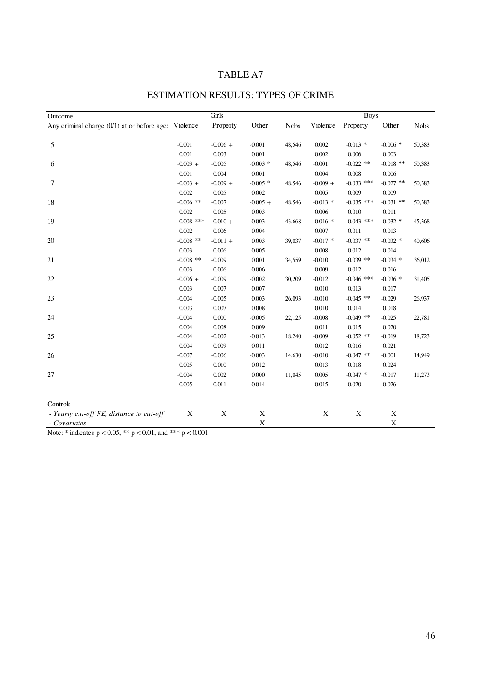| Outcome                                                | Girls        |            |            |             | <b>Boys</b> |              |             |             |
|--------------------------------------------------------|--------------|------------|------------|-------------|-------------|--------------|-------------|-------------|
| Any criminal charge $(0/1)$ at or before age: Violence |              | Property   | Other      | <b>Nobs</b> | Violence    | Property     | Other       | <b>Nobs</b> |
|                                                        |              |            |            |             |             |              |             |             |
| 15                                                     | $-0.001$     | $-0.006 +$ | $-0.001$   | 48,546      | 0.002       | $-0.013$ *   | $-0.006$ *  | 50,383      |
|                                                        | 0.001        | 0.003      | 0.001      |             | 0.002       | 0.006        | 0.003       |             |
| 16                                                     | $-0.003 +$   | $-0.005$   | $-0.003$ * | 48,546      | $-0.001$    | $-0.022$ **  | $-0.018$ ** | 50,383      |
|                                                        | 0.001        | 0.004      | 0.001      |             | 0.004       | 0.008        | 0.006       |             |
| 17                                                     | $-0.003 +$   | $-0.009 +$ | $-0.005$ * | 48,546      | $-0.009 +$  | $-0.033$ *** | $-0.027$ ** | 50,383      |
|                                                        | 0.002        | 0.005      | 0.002      |             | 0.005       | 0.009        | 0.009       |             |
| 18                                                     | $-0.006$ **  | $-0.007$   | $-0.005 +$ | 48,546      | $-0.013$ *  | $-0.035$ *** | $-0.031$ ** | 50,383      |
|                                                        | 0.002        | 0.005      | 0.003      |             | 0.006       | 0.010        | 0.011       |             |
| 19                                                     | $-0.008$ *** | $-0.010 +$ | $-0.003$   | 43,668      | $-0.016$ *  | $-0.043$ *** | $-0.032$ *  | 45,368      |
|                                                        | 0.002        | 0.006      | 0.004      |             | 0.007       | 0.011        | 0.013       |             |
| 20                                                     | $-0.008$ **  | $-0.011 +$ | 0.003      | 39,037      | $-0.017$ *  | $-0.037$ **  | $-0.032$ *  | 40,606      |
|                                                        | 0.003        | 0.006      | 0.005      |             | 0.008       | 0.012        | 0.014       |             |
| 21                                                     | $-0.008$ **  | $-0.009$   | 0.001      | 34,559      | $-0.010$    | $-0.039$ **  | $-0.034$ *  | 36,012      |
|                                                        | 0.003        | 0.006      | 0.006      |             | 0.009       | 0.012        | 0.016       |             |
| 22                                                     | $-0.006 +$   | $-0.009$   | $-0.002$   | 30,209      | $-0.012$    | $-0.046$ *** | $-0.036$ *  | 31,405      |
|                                                        | 0.003        | 0.007      | 0.007      |             | 0.010       | 0.013        | 0.017       |             |
| 23                                                     | $-0.004$     | $-0.005$   | 0.003      | 26,093      | $-0.010$    | $-0.045$ **  | $-0.029$    | 26,937      |
|                                                        | 0.003        | 0.007      | 0.008      |             | 0.010       | 0.014        | 0.018       |             |
| 24                                                     | $-0.004$     | 0.000      | $-0.005$   | 22,125      | $-0.008$    | $-0.049$ **  | $-0.025$    | 22,781      |
|                                                        | 0.004        | 0.008      | 0.009      |             | 0.011       | 0.015        | 0.020       |             |
| 25                                                     | $-0.004$     | $-0.002$   | $-0.013$   | 18,240      | $-0.009$    | $-0.052$ **  | $-0.019$    | 18,723      |
|                                                        | 0.004        | 0.009      | 0.011      |             | 0.012       | 0.016        | 0.021       |             |
| 26                                                     | $-0.007$     | $-0.006$   | $-0.003$   | 14,630      | $-0.010$    | $-0.047$ **  | $-0.001$    | 14,949      |
|                                                        | 0.005        | 0.010      | 0.012      |             | 0.013       | 0.018        | 0.024       |             |
| 27                                                     | $-0.004$     | 0.002      | 0.000      | 11,045      | 0.005       | $-0.047$ *   | $-0.017$    | 11,273      |
|                                                        | 0.005        | 0.011      | 0.014      |             | 0.015       | 0.020        | 0.026       |             |
| Controls                                               |              |            |            |             |             |              |             |             |
| - Yearly cut-off FE, distance to cut-off               | X            | X          | X          |             | X           | X            | X           |             |
| - Covariates                                           |              |            | X          |             |             |              | $\mathbf X$ |             |

# ESTIMATION RESULTS: TYPES OF CRIME

Note: \* indicates  $p < 0.05$ , \*\*  $p < 0.01$ , and \*\*\*  $p < 0.001$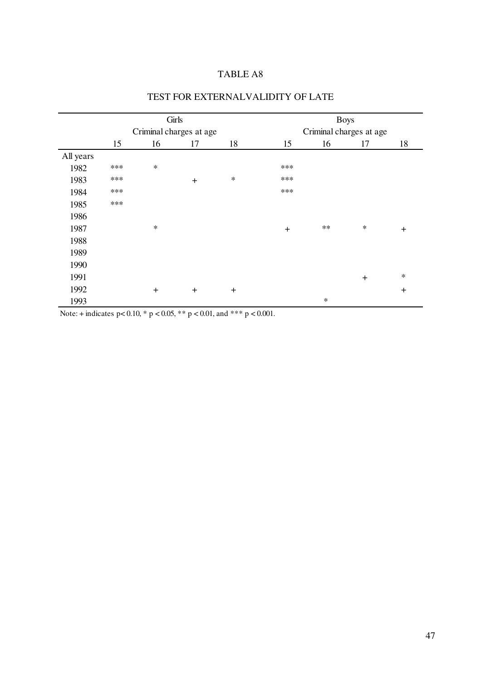|           | Girls                   |        |        |           | <b>Boys</b>             |        |        |           |  |
|-----------|-------------------------|--------|--------|-----------|-------------------------|--------|--------|-----------|--|
|           | Criminal charges at age |        |        |           | Criminal charges at age |        |        |           |  |
|           | 15                      | 16     | 17     | 18        | 15                      | 16     | 17     | 18        |  |
| All years |                         |        |        |           |                         |        |        |           |  |
| 1982      | ***                     | $\ast$ |        |           | ***                     |        |        |           |  |
| 1983      | ***                     |        | $+$    | $\ast$    | ***                     |        |        |           |  |
| 1984      | ***                     |        |        |           | ***                     |        |        |           |  |
| 1985      | $***$                   |        |        |           |                         |        |        |           |  |
| 1986      |                         |        |        |           |                         |        |        |           |  |
| 1987      |                         | $\ast$ |        |           | $\ddot{}$               | $**$   | $\ast$ | $\ddot{}$ |  |
| 1988      |                         |        |        |           |                         |        |        |           |  |
| 1989      |                         |        |        |           |                         |        |        |           |  |
| 1990      |                         |        |        |           |                         |        |        |           |  |
| 1991      |                         |        |        |           |                         |        | $+$    | $\ast$    |  |
| 1992      |                         | $+$    | $^{+}$ | $\ddot{}$ |                         |        |        | $+$       |  |
| 1993      |                         |        |        |           |                         | $\ast$ |        |           |  |

# TEST FOR EXTERNALVALIDITY OF LATE

Note: + indicates  $p < 0.10$ , \*  $p < 0.05$ , \*\*  $p < 0.01$ , and \*\*\*  $p < 0.001$ .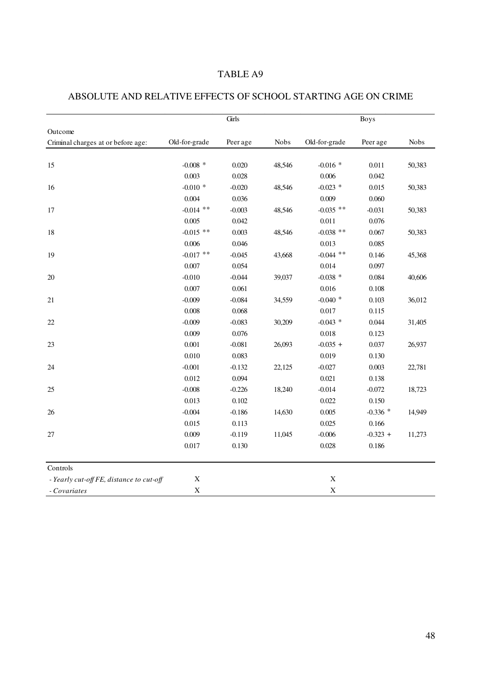|                                          |                  | Girls    |             | <b>Boys</b>   |            |             |  |
|------------------------------------------|------------------|----------|-------------|---------------|------------|-------------|--|
| Outcome                                  |                  |          |             |               |            |             |  |
| Criminal charges at or before age:       | Old-for-grade    | Peer age | <b>Nobs</b> | Old-for-grade | Peer age   | <b>Nobs</b> |  |
|                                          |                  |          |             |               |            |             |  |
| 15                                       | -0.008 $^{\ast}$ | 0.020    | 48,546      | $-0.016$ *    | 0.011      | 50,383      |  |
|                                          | 0.003            | 0.028    |             | 0.006         | 0.042      |             |  |
| 16                                       | $-0.010$ *       | $-0.020$ | 48,546      | $-0.023$ *    | 0.015      | 50,383      |  |
|                                          | 0.004            | 0.036    |             | 0.009         | 0.060      |             |  |
| 17                                       | $-0.014$ **      | $-0.003$ | 48,546      | $-0.035$ **   | $-0.031$   | 50,383      |  |
|                                          | 0.005            | 0.042    |             | 0.011         | 0.076      |             |  |
| 18                                       | $-0.015$ **      | 0.003    | 48,546      | $-0.038$ **   | 0.067      | 50,383      |  |
|                                          | 0.006            | 0.046    |             | 0.013         | 0.085      |             |  |
| 19                                       | $-0.017$ **      | $-0.045$ | 43,668      | $-0.044$ **   | 0.146      | 45,368      |  |
|                                          | 0.007            | 0.054    |             | 0.014         | 0.097      |             |  |
| 20                                       | $-0.010$         | $-0.044$ | 39,037      | $-0.038$ *    | 0.084      | 40,606      |  |
|                                          | 0.007            | 0.061    |             | 0.016         | 0.108      |             |  |
| 21                                       | $-0.009$         | $-0.084$ | 34,559      | $-0.040$ *    | 0.103      | 36,012      |  |
|                                          | 0.008            | 0.068    |             | 0.017         | 0.115      |             |  |
| 22                                       | $-0.009$         | $-0.083$ | 30,209      | $-0.043$ *    | 0.044      | 31,405      |  |
|                                          | 0.009            | 0.076    |             | 0.018         | 0.123      |             |  |
| $23\,$                                   | 0.001            | $-0.081$ | 26,093      | $-0.035 +$    | 0.037      | 26,937      |  |
|                                          | 0.010            | 0.083    |             | 0.019         | 0.130      |             |  |
| 24                                       | $-0.001$         | $-0.132$ | 22,125      | $-0.027$      | 0.003      | 22,781      |  |
|                                          | 0.012            | 0.094    |             | 0.021         | 0.138      |             |  |
| 25                                       | $-0.008$         | $-0.226$ | 18,240      | $-0.014$      | $-0.072$   | 18,723      |  |
|                                          | 0.013            | 0.102    |             | 0.022         | 0.150      |             |  |
| 26                                       | $-0.004$         | $-0.186$ | 14,630      | 0.005         | $-0.336$ * | 14,949      |  |
|                                          | 0.015            | 0.113    |             | 0.025         | 0.166      |             |  |
| 27                                       | 0.009            | $-0.119$ | 11,045      | $-0.006$      | $-0.323 +$ | 11,273      |  |
|                                          | 0.017            | 0.130    |             | 0.028         | 0.186      |             |  |
| Controls                                 |                  |          |             |               |            |             |  |
| - Yearly cut-off FE, distance to cut-off | $\mathbf X$      |          |             | $\mathbf X$   |            |             |  |
| - Covariates                             | $\mathbf X$      |          |             | $\mathbf X$   |            |             |  |

# ABSOLUTE AND RELATIVE EFFECTS OF SCHOOL STARTING AGE ON CRIME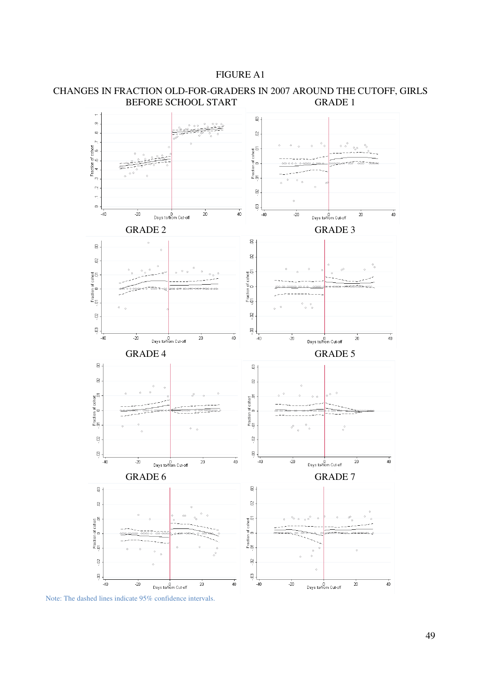



### CHANGES IN FRACTION OLD-FOR-GRADERS IN 2007 AROUND THE CUTOFF, GIRLS BEFORE SCHOOL START GRADE 1

Note: The dashed lines indicate 95% confidence intervals.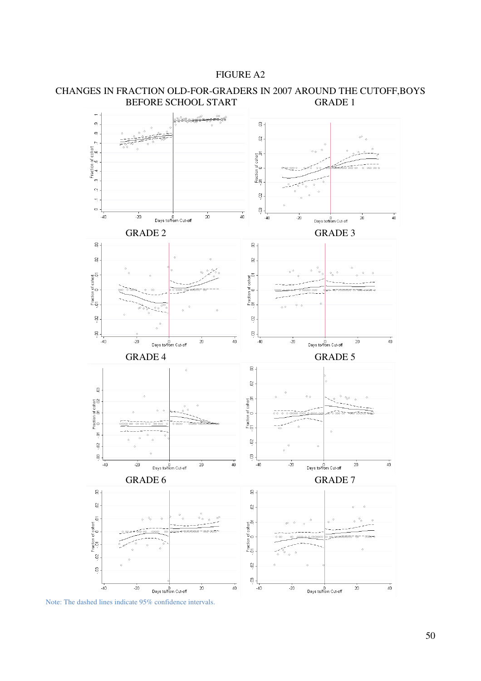#### FIGURE A2



# CHANGES IN FRACTION OLD-FOR-GRADERS IN 2007 AROUND THE CUTOFF,BOYS BEFORE SCHOOL START GRADE 1

Note: The dashed lines indicate 95% confidence intervals.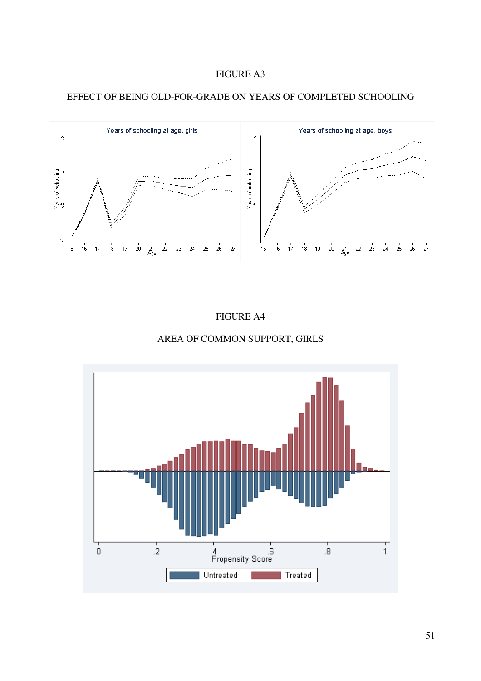





FIGURE A4

# AREA OF COMMON SUPPORT, GIRLS

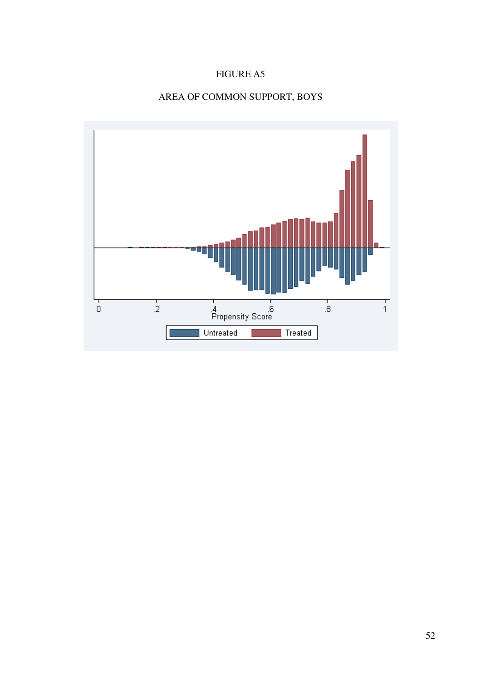# FIGURE A5

# AREA OF COMMON SUPPORT, BOYS

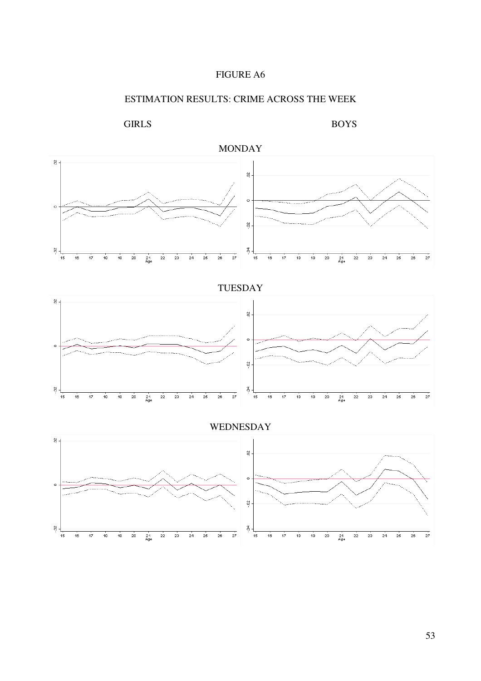

# ESTIMATION RESULTS: CRIME ACROSS THE WEEK

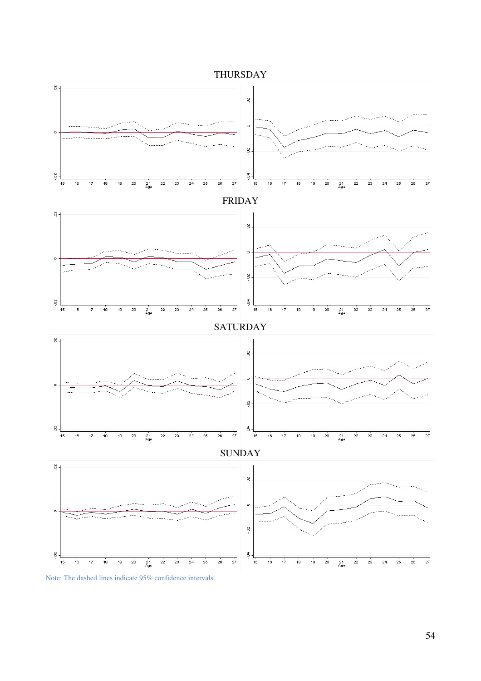

Note: The dashed lines indicate 95% confidence intervals.